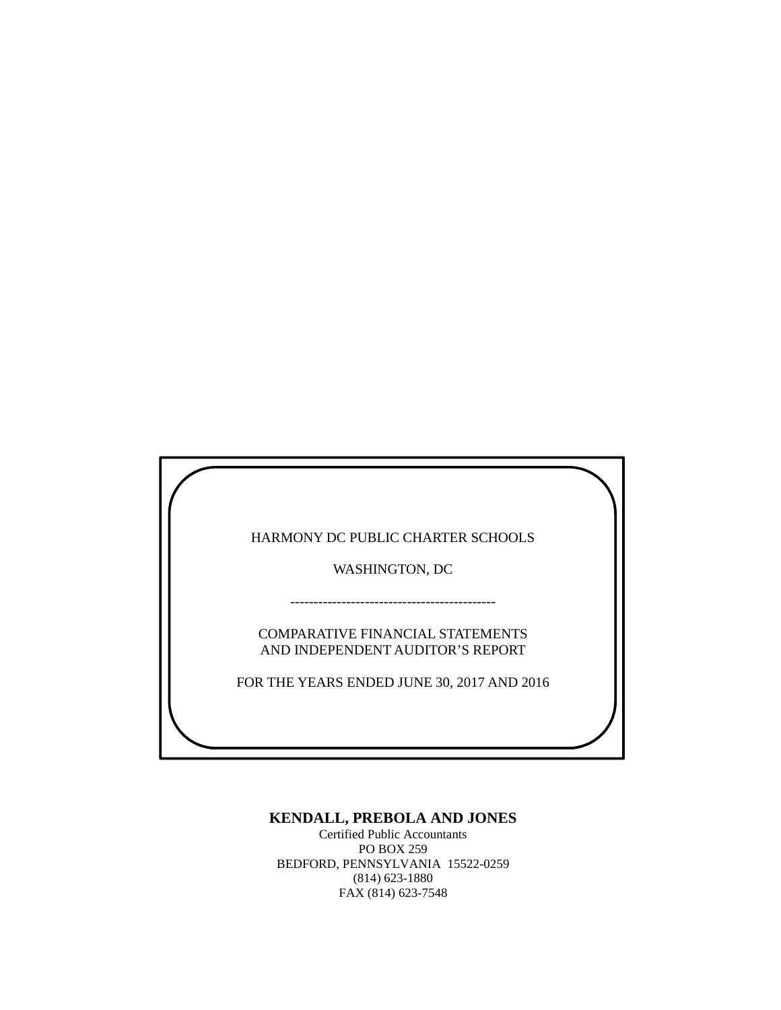HARMONY DC PUBLIC CHARTER SCHOOLS

WASHINGTON, DC

COMPARATIVE FINANCIAL STATEMENTS AND INDEPENDENT AUDITOR'S REPORT

--------------------------------------------

FOR THE YEARS ENDED JUNE 30, 2017 AND 2016

## **KENDALL, PREBOLA AND JONES**

Certified Public Accountants PO BOX 259 BEDFORD, PENNSYLVANIA 15522-0259 (814) 623-1880 FAX (814) 623-7548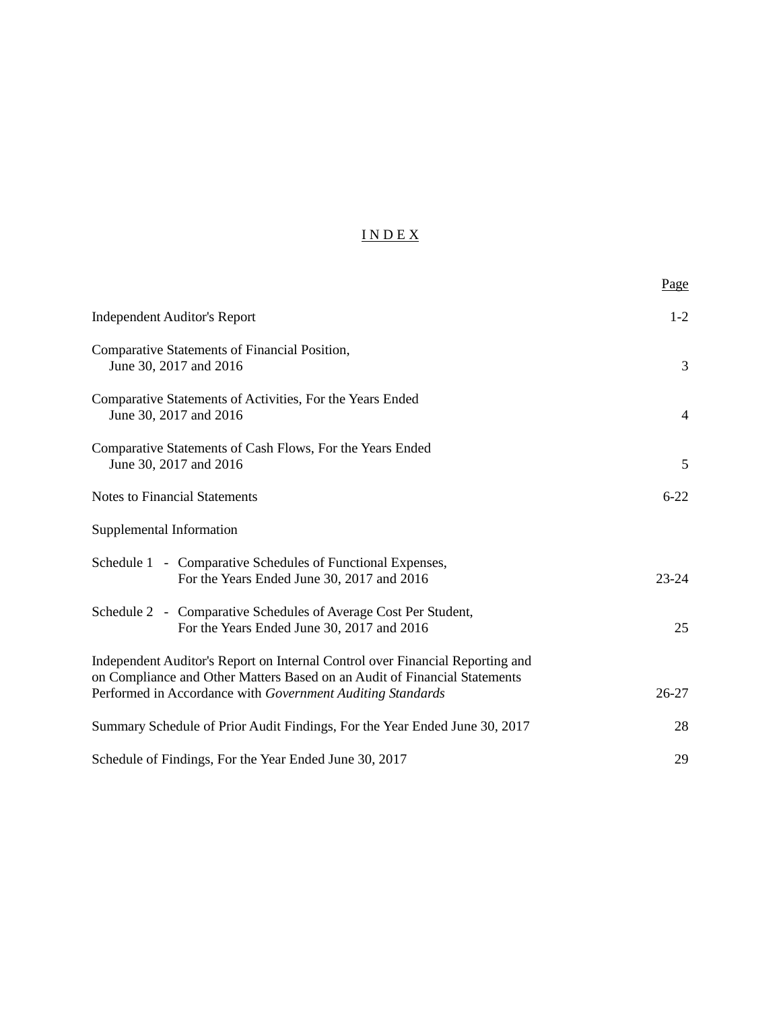# I N D E X

|                                                                                                                                                                                                                          | Page           |
|--------------------------------------------------------------------------------------------------------------------------------------------------------------------------------------------------------------------------|----------------|
| <b>Independent Auditor's Report</b>                                                                                                                                                                                      | $1-2$          |
| Comparative Statements of Financial Position,<br>June 30, 2017 and 2016                                                                                                                                                  | 3              |
| Comparative Statements of Activities, For the Years Ended<br>June 30, 2017 and 2016                                                                                                                                      | $\overline{4}$ |
| Comparative Statements of Cash Flows, For the Years Ended<br>June 30, 2017 and 2016                                                                                                                                      | 5              |
| <b>Notes to Financial Statements</b>                                                                                                                                                                                     | $6 - 22$       |
| Supplemental Information                                                                                                                                                                                                 |                |
| Schedule 1 - Comparative Schedules of Functional Expenses,<br>For the Years Ended June 30, 2017 and 2016                                                                                                                 | $23 - 24$      |
| Schedule 2 - Comparative Schedules of Average Cost Per Student,<br>For the Years Ended June 30, 2017 and 2016                                                                                                            | 25             |
| Independent Auditor's Report on Internal Control over Financial Reporting and<br>on Compliance and Other Matters Based on an Audit of Financial Statements<br>Performed in Accordance with Government Auditing Standards | $26 - 27$      |
| Summary Schedule of Prior Audit Findings, For the Year Ended June 30, 2017                                                                                                                                               | 28             |
| Schedule of Findings, For the Year Ended June 30, 2017                                                                                                                                                                   | 29             |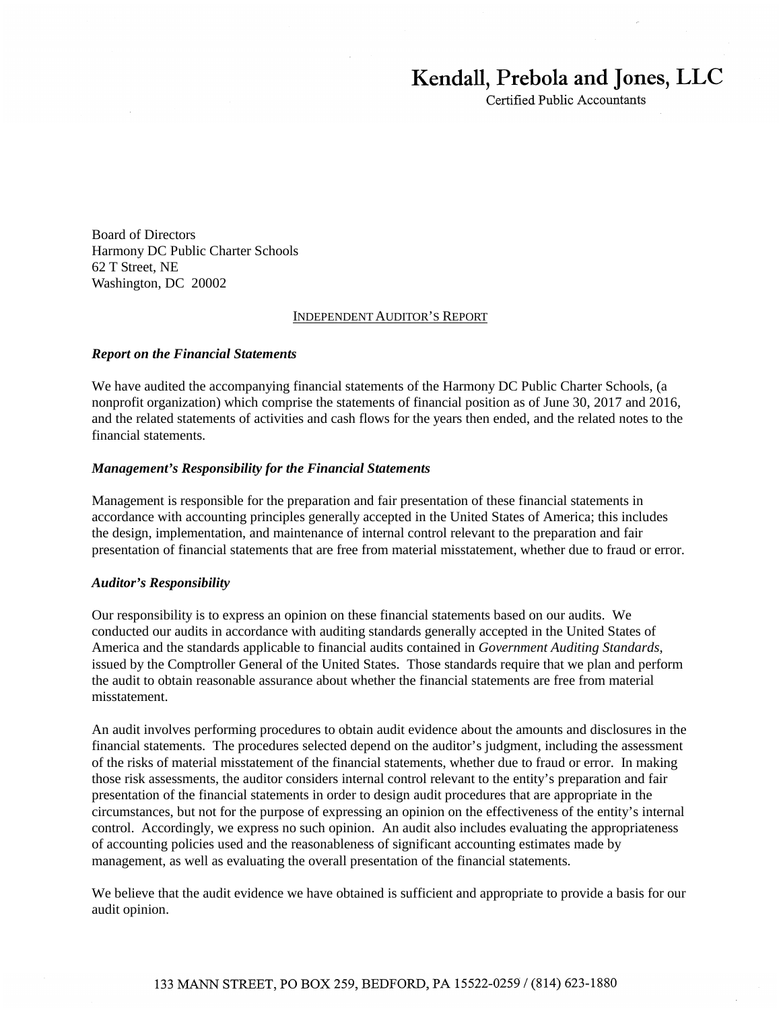# Kendall, Prebola and Jones, LLC

**Certified Public Accountants** 

Board of Directors Harmony DC Public Charter Schools 62 T Street, NE Washington, DC 20002

#### INDEPENDENT AUDITOR'S REPORT

#### *Report on the Financial Statements*

We have audited the accompanying financial statements of the Harmony DC Public Charter Schools, (a nonprofit organization) which comprise the statements of financial position as of June 30, 2017 and 2016, and the related statements of activities and cash flows for the years then ended, and the related notes to the financial statements.

#### *Management's Responsibility for the Financial Statements*

Management is responsible for the preparation and fair presentation of these financial statements in accordance with accounting principles generally accepted in the United States of America; this includes the design, implementation, and maintenance of internal control relevant to the preparation and fair presentation of financial statements that are free from material misstatement, whether due to fraud or error.

#### *Auditor's Responsibility*

Our responsibility is to express an opinion on these financial statements based on our audits. We conducted our audits in accordance with auditing standards generally accepted in the United States of America and the standards applicable to financial audits contained in *Government Auditing Standards*, issued by the Comptroller General of the United States. Those standards require that we plan and perform the audit to obtain reasonable assurance about whether the financial statements are free from material misstatement.

An audit involves performing procedures to obtain audit evidence about the amounts and disclosures in the financial statements. The procedures selected depend on the auditor's judgment, including the assessment of the risks of material misstatement of the financial statements, whether due to fraud or error. In making those risk assessments, the auditor considers internal control relevant to the entity's preparation and fair presentation of the financial statements in order to design audit procedures that are appropriate in the circumstances, but not for the purpose of expressing an opinion on the effectiveness of the entity's internal control. Accordingly, we express no such opinion. An audit also includes evaluating the appropriateness of accounting policies used and the reasonableness of significant accounting estimates made by management, as well as evaluating the overall presentation of the financial statements.

We believe that the audit evidence we have obtained is sufficient and appropriate to provide a basis for our audit opinion.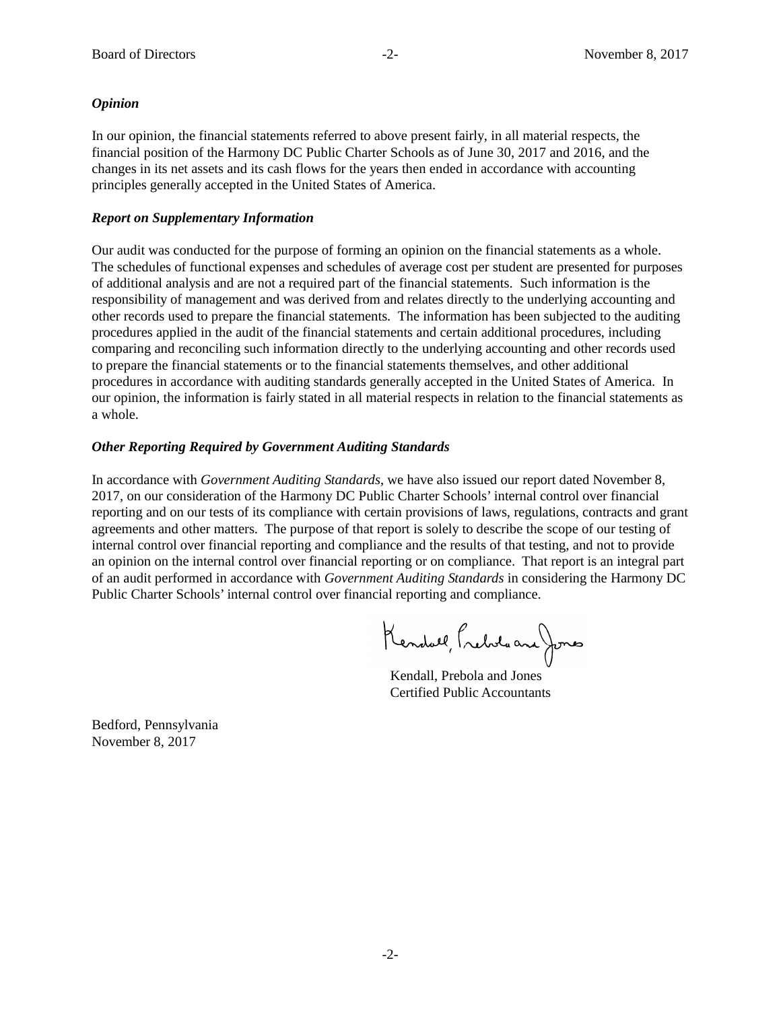#### *Opinion*

In our opinion, the financial statements referred to above present fairly, in all material respects, the financial position of the Harmony DC Public Charter Schools as of June 30, 2017 and 2016, and the changes in its net assets and its cash flows for the years then ended in accordance with accounting principles generally accepted in the United States of America.

#### *Report on Supplementary Information*

Our audit was conducted for the purpose of forming an opinion on the financial statements as a whole. The schedules of functional expenses and schedules of average cost per student are presented for purposes of additional analysis and are not a required part of the financial statements. Such information is the responsibility of management and was derived from and relates directly to the underlying accounting and other records used to prepare the financial statements. The information has been subjected to the auditing procedures applied in the audit of the financial statements and certain additional procedures, including comparing and reconciling such information directly to the underlying accounting and other records used to prepare the financial statements or to the financial statements themselves, and other additional procedures in accordance with auditing standards generally accepted in the United States of America. In our opinion, the information is fairly stated in all material respects in relation to the financial statements as a whole.

#### *Other Reporting Required by Government Auditing Standards*

In accordance with *Government Auditing Standards*, we have also issued our report dated November 8, 2017, on our consideration of the Harmony DC Public Charter Schools' internal control over financial reporting and on our tests of its compliance with certain provisions of laws, regulations, contracts and grant agreements and other matters. The purpose of that report is solely to describe the scope of our testing of internal control over financial reporting and compliance and the results of that testing, and not to provide an opinion on the internal control over financial reporting or on compliance. That report is an integral part of an audit performed in accordance with *Government Auditing Standards* in considering the Harmony DC Public Charter Schools' internal control over financial reporting and compliance.

Kendal, Prebleau (Jones

Kendall, Prebola and Jones Certified Public Accountants

Bedford, Pennsylvania November 8, 2017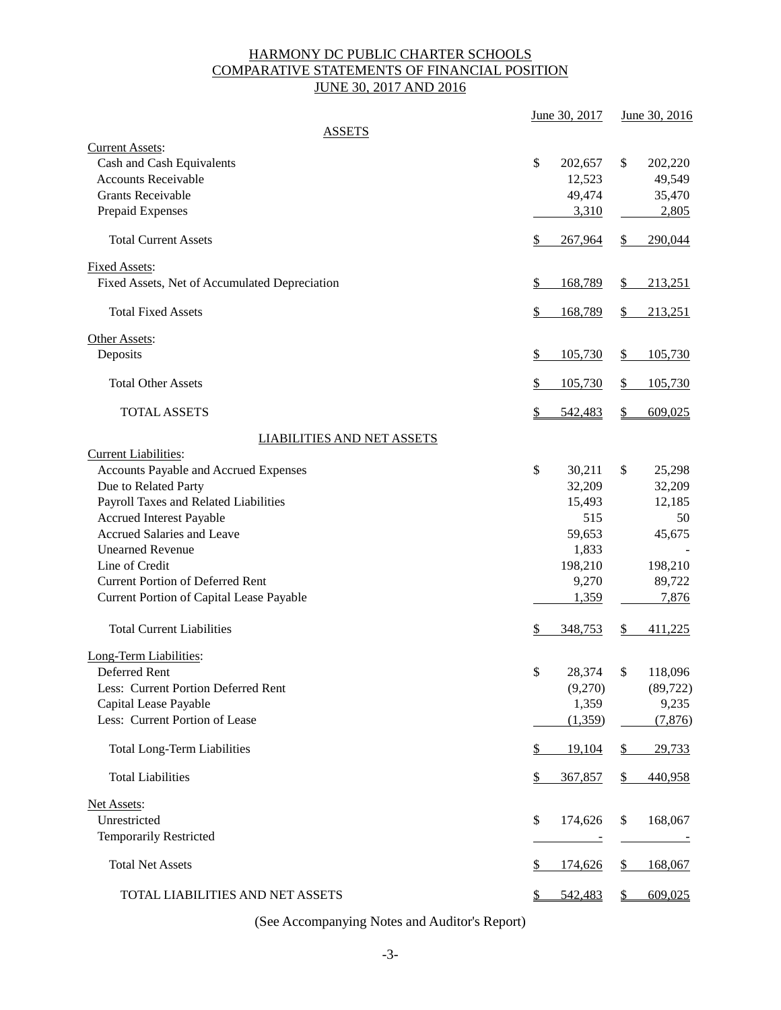# HARMONY DC PUBLIC CHARTER SCHOOLS COMPARATIVE STATEMENTS OF FINANCIAL POSITION JUNE 30, 2017 AND 2016

|                                               |    | June 30, 2017 |               | June 30, 2016 |
|-----------------------------------------------|----|---------------|---------------|---------------|
| <b>ASSETS</b>                                 |    |               |               |               |
| <b>Current Assets:</b>                        |    |               |               |               |
| Cash and Cash Equivalents                     | \$ | 202,657       | \$            | 202,220       |
| <b>Accounts Receivable</b>                    |    | 12,523        |               | 49,549        |
| <b>Grants Receivable</b>                      |    | 49,474        |               | 35,470        |
| Prepaid Expenses                              |    | 3,310         |               | 2,805         |
|                                               |    |               |               |               |
| <b>Total Current Assets</b>                   | \$ | 267,964       | \$            | 290,044       |
| <b>Fixed Assets:</b>                          |    |               |               |               |
| Fixed Assets, Net of Accumulated Depreciation | \$ | 168,789       | \$            | 213,251       |
|                                               |    |               |               |               |
| <b>Total Fixed Assets</b>                     | \$ | 168,789       | $\frac{1}{2}$ | 213,251       |
| Other Assets:                                 |    |               |               |               |
| Deposits                                      | \$ | 105,730       | $\frac{1}{2}$ | 105,730       |
|                                               |    |               |               |               |
| <b>Total Other Assets</b>                     | \$ | 105,730       | \$            | 105,730       |
| <b>TOTAL ASSETS</b>                           | \$ | 542,483       | \$            | 609,025       |
| <b>LIABILITIES AND NET ASSETS</b>             |    |               |               |               |
| <b>Current Liabilities:</b>                   |    |               |               |               |
| Accounts Payable and Accrued Expenses         | \$ | 30,211        | \$            | 25,298        |
| Due to Related Party                          |    | 32,209        |               | 32,209        |
| Payroll Taxes and Related Liabilities         |    | 15,493        |               | 12,185        |
| Accrued Interest Payable                      |    | 515           |               | 50            |
| <b>Accrued Salaries and Leave</b>             |    | 59,653        |               | 45,675        |
| <b>Unearned Revenue</b>                       |    | 1,833         |               |               |
| Line of Credit                                |    | 198,210       |               | 198,210       |
| <b>Current Portion of Deferred Rent</b>       |    | 9,270         |               | 89,722        |
|                                               |    |               |               |               |
| Current Portion of Capital Lease Payable      |    | 1,359         |               | 7,876         |
| <b>Total Current Liabilities</b>              |    | 348,753       | \$            | 411,225       |
| Long-Term Liabilities:                        |    |               |               |               |
| Deferred Rent                                 | \$ | 28,374        | \$            | 118,096       |
| Less: Current Portion Deferred Rent           |    | (9,270)       |               | (89, 722)     |
| Capital Lease Payable                         |    | 1,359         |               | 9,235         |
| Less: Current Portion of Lease                |    | (1,359)       |               | (7,876)       |
|                                               |    |               |               |               |
| <b>Total Long-Term Liabilities</b>            | \$ | 19,104        | $\frac{1}{2}$ | 29,733        |
| <b>Total Liabilities</b>                      | \$ | 367,857       | $\frac{1}{2}$ | 440,958       |
| Net Assets:                                   |    |               |               |               |
| Unrestricted                                  | \$ | 174,626       | \$            | 168,067       |
| <b>Temporarily Restricted</b>                 |    |               |               |               |
|                                               |    |               |               |               |
| <b>Total Net Assets</b>                       | S  | 174,626       | \$            | 168,067       |
| TOTAL LIABILITIES AND NET ASSETS              |    | 542,483       | \$            | 609,025       |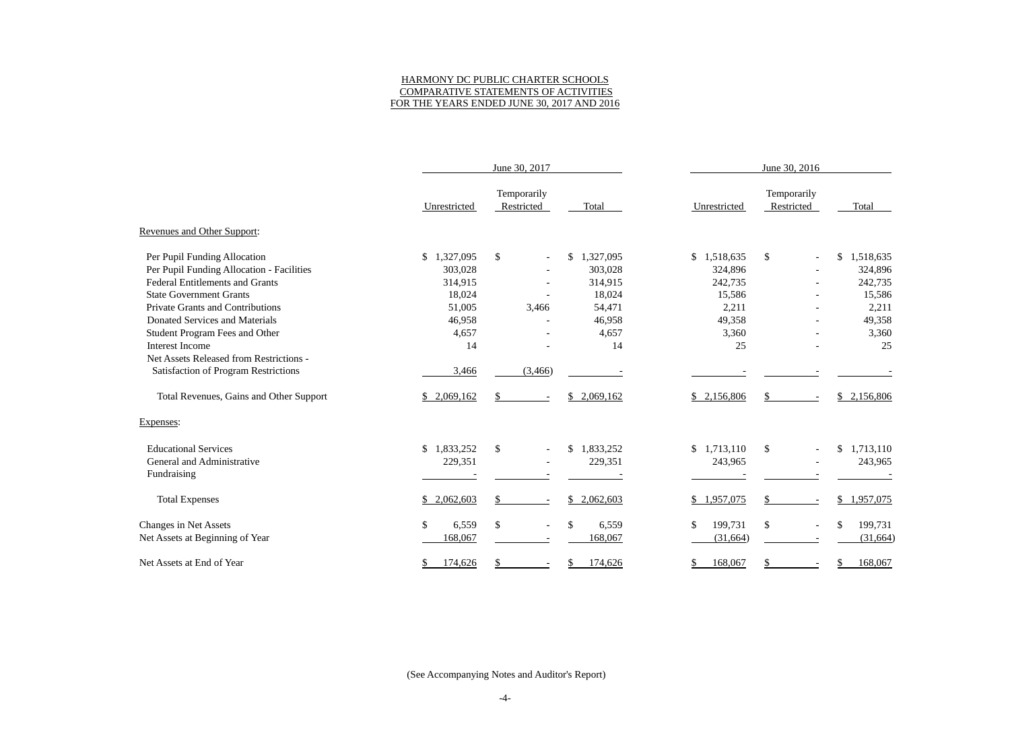#### HARMONY DC PUBLIC CHARTER SCHOOLS COMPARATIVE STATEMENTS OF ACTIVITIES FOR THE YEARS ENDED JUNE 30, 2017 AND 2016

|                                           | June 30, 2017   |                                |                 | June 30, 2016           |                           |                 |  |
|-------------------------------------------|-----------------|--------------------------------|-----------------|-------------------------|---------------------------|-----------------|--|
|                                           | Unrestricted    | Temporarily<br>Restricted      | Total           | Unrestricted            | Temporarily<br>Restricted | Total           |  |
| Revenues and Other Support:               |                 |                                |                 |                         |                           |                 |  |
| Per Pupil Funding Allocation              | \$<br>1,327,095 | \$<br>$\blacksquare$           | \$<br>1,327,095 | \$1,518,635             | \$                        | \$<br>1,518,635 |  |
| Per Pupil Funding Allocation - Facilities | 303,028         |                                | 303,028         | 324,896                 |                           | 324,896         |  |
| <b>Federal Entitlements and Grants</b>    | 314,915         |                                | 314,915         | 242,735                 |                           | 242,735         |  |
| <b>State Government Grants</b>            | 18,024          |                                | 18,024          | 15,586                  |                           | 15,586          |  |
| <b>Private Grants and Contributions</b>   | 51,005          | 3,466                          | 54,471          | 2,211                   |                           | 2,211           |  |
| <b>Donated Services and Materials</b>     | 46,958          |                                | 46,958          | 49,358                  |                           | 49,358          |  |
| Student Program Fees and Other            | 4,657           |                                | 4,657           | 3,360                   |                           | 3,360           |  |
| Interest Income                           | 14              |                                | 14              | 25                      |                           | 25              |  |
| Net Assets Released from Restrictions -   |                 |                                |                 |                         |                           |                 |  |
| Satisfaction of Program Restrictions      | 3,466           | (3,466)                        |                 |                         |                           |                 |  |
| Total Revenues, Gains and Other Support   | 2,069,162       |                                | \$<br>2,069,162 | \$2,156,806             |                           | \$<br>2,156,806 |  |
| Expenses:                                 |                 |                                |                 |                         |                           |                 |  |
| <b>Educational Services</b>               | \$<br>1,833,252 | \$<br>$\blacksquare$           | \$1,833,252     | \$1,713,110             | \$                        | 1,713,110<br>\$ |  |
| General and Administrative                | 229,351         |                                | 229,351         | 243,965                 |                           | 243,965         |  |
| Fundraising                               |                 |                                |                 |                         |                           |                 |  |
| <b>Total Expenses</b>                     | 2,062,603<br>\$ |                                | 2,062,603<br>\$ | \$1,957,075             |                           | 1,957,075<br>\$ |  |
| <b>Changes in Net Assets</b>              | \$<br>6,559     | \$<br>$\overline{\phantom{a}}$ | \$<br>6,559     | 199,731<br>$\mathbb{S}$ | \$                        | \$<br>199,731   |  |
| Net Assets at Beginning of Year           | 168,067         |                                | 168,067         | (31, 664)               |                           | (31, 664)       |  |
| Net Assets at End of Year                 | 174,626<br>\$   |                                | 174,626         | 168,067                 |                           | 168,067         |  |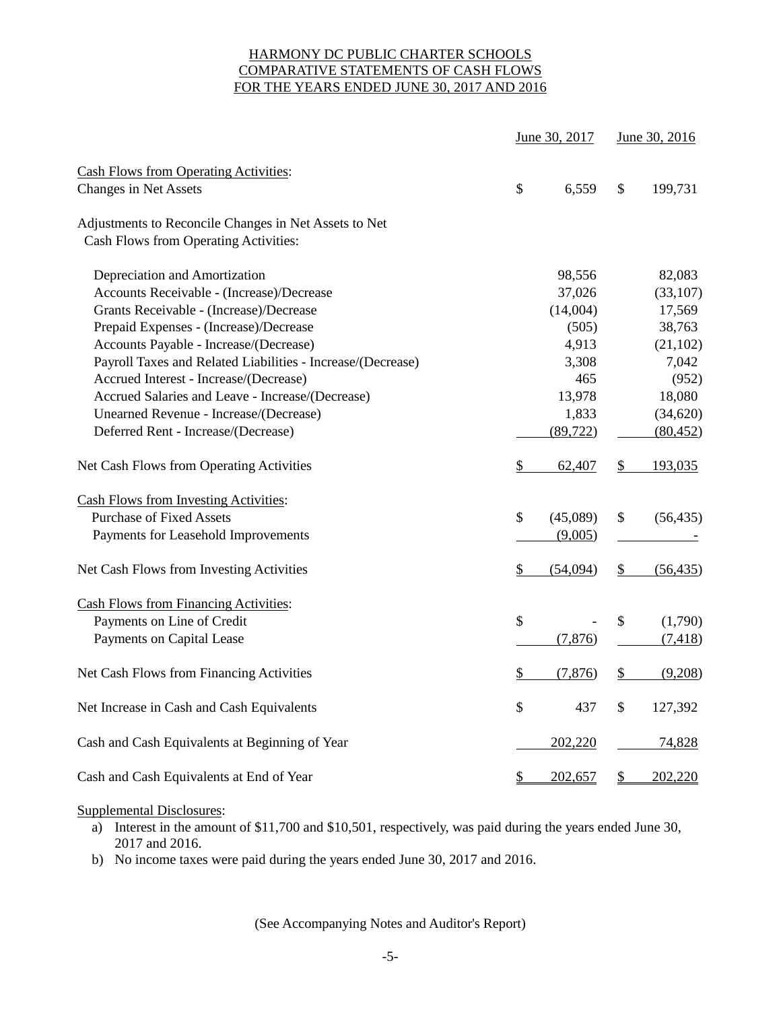## HARMONY DC PUBLIC CHARTER SCHOOLS COMPARATIVE STATEMENTS OF CASH FLOWS FOR THE YEARS ENDED JUNE 30, 2017 AND 2016

|                                                             |    | June 30, 2017 |    | June 30, 2016 |  |
|-------------------------------------------------------------|----|---------------|----|---------------|--|
| <b>Cash Flows from Operating Activities:</b>                |    |               |    |               |  |
| <b>Changes in Net Assets</b>                                | \$ | 6,559         | \$ | 199,731       |  |
| Adjustments to Reconcile Changes in Net Assets to Net       |    |               |    |               |  |
| Cash Flows from Operating Activities:                       |    |               |    |               |  |
| Depreciation and Amortization                               |    | 98,556        |    | 82,083        |  |
| Accounts Receivable - (Increase)/Decrease                   |    | 37,026        |    | (33, 107)     |  |
| Grants Receivable - (Increase)/Decrease                     |    | (14,004)      |    | 17,569        |  |
| Prepaid Expenses - (Increase)/Decrease                      |    | (505)         |    | 38,763        |  |
| Accounts Payable - Increase/(Decrease)                      |    | 4,913         |    | (21, 102)     |  |
| Payroll Taxes and Related Liabilities - Increase/(Decrease) |    | 3,308         |    | 7,042         |  |
| Accrued Interest - Increase/(Decrease)                      |    | 465           |    | (952)         |  |
| Accrued Salaries and Leave - Increase/(Decrease)            |    | 13,978        |    | 18,080        |  |
| Unearned Revenue - Increase/(Decrease)                      |    | 1,833         |    | (34, 620)     |  |
| Deferred Rent - Increase/(Decrease)                         |    | (89, 722)     |    | (80, 452)     |  |
| Net Cash Flows from Operating Activities                    | \$ | 62,407        | \$ | 193,035       |  |
| <b>Cash Flows from Investing Activities:</b>                |    |               |    |               |  |
| <b>Purchase of Fixed Assets</b>                             | \$ | (45,089)      | \$ | (56, 435)     |  |
| Payments for Leasehold Improvements                         |    | (9,005)       |    |               |  |
| Net Cash Flows from Investing Activities                    | S  | (54,094)      | \$ | (56, 435)     |  |
| <b>Cash Flows from Financing Activities:</b>                |    |               |    |               |  |
| Payments on Line of Credit                                  | \$ |               | \$ | (1,790)       |  |
| Payments on Capital Lease                                   |    | (7,876)       |    | (7, 418)      |  |
| Net Cash Flows from Financing Activities                    | \$ | (7,876)       | \$ | (9,208)       |  |
| Net Increase in Cash and Cash Equivalents                   | \$ | 437           | \$ | 127,392       |  |
| Cash and Cash Equivalents at Beginning of Year              |    | 202,220       |    | 74,828        |  |
| Cash and Cash Equivalents at End of Year                    | \$ | 202,657       | \$ | 202,220       |  |

#### Supplemental Disclosures:

- a) Interest in the amount of \$11,700 and \$10,501, respectively, was paid during the years ended June 30, 2017 and 2016.
- b) No income taxes were paid during the years ended June 30, 2017 and 2016.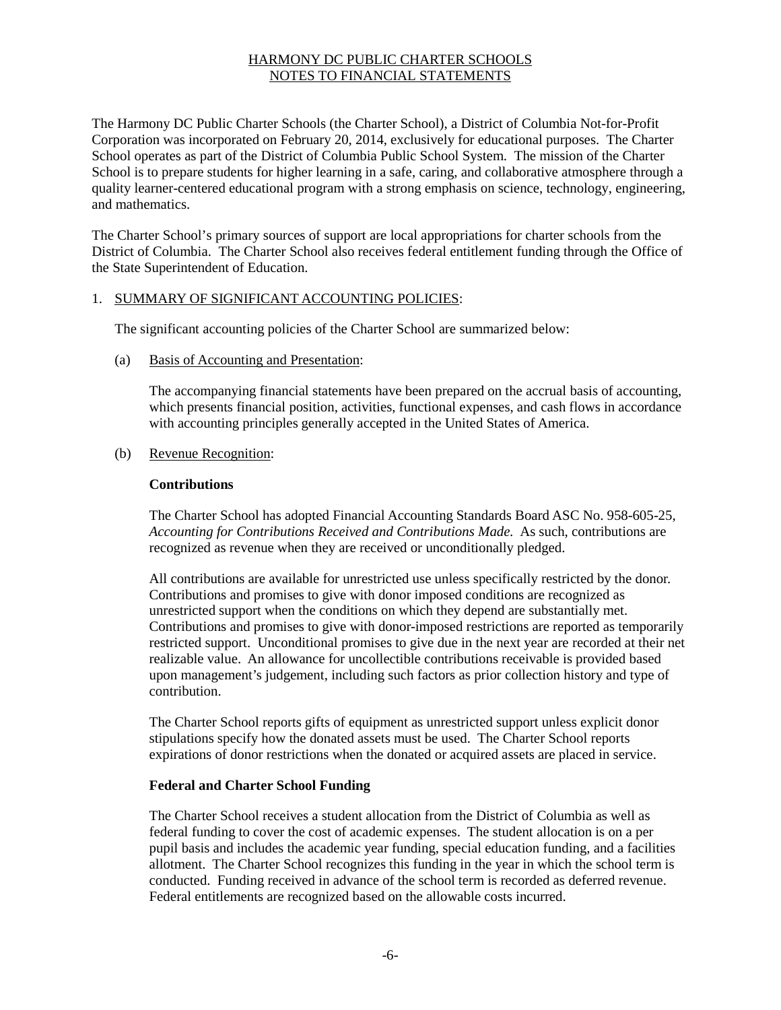The Harmony DC Public Charter Schools (the Charter School), a District of Columbia Not-for-Profit Corporation was incorporated on February 20, 2014, exclusively for educational purposes. The Charter School operates as part of the District of Columbia Public School System. The mission of the Charter School is to prepare students for higher learning in a safe, caring, and collaborative atmosphere through a quality learner-centered educational program with a strong emphasis on science, technology, engineering, and mathematics.

The Charter School's primary sources of support are local appropriations for charter schools from the District of Columbia. The Charter School also receives federal entitlement funding through the Office of the State Superintendent of Education.

#### 1. SUMMARY OF SIGNIFICANT ACCOUNTING POLICIES:

The significant accounting policies of the Charter School are summarized below:

(a) Basis of Accounting and Presentation:

The accompanying financial statements have been prepared on the accrual basis of accounting, which presents financial position, activities, functional expenses, and cash flows in accordance with accounting principles generally accepted in the United States of America.

(b) Revenue Recognition:

#### **Contributions**

The Charter School has adopted Financial Accounting Standards Board ASC No. 958-605-25, *Accounting for Contributions Received and Contributions Made.* As such, contributions are recognized as revenue when they are received or unconditionally pledged.

All contributions are available for unrestricted use unless specifically restricted by the donor. Contributions and promises to give with donor imposed conditions are recognized as unrestricted support when the conditions on which they depend are substantially met. Contributions and promises to give with donor-imposed restrictions are reported as temporarily restricted support. Unconditional promises to give due in the next year are recorded at their net realizable value. An allowance for uncollectible contributions receivable is provided based upon management's judgement, including such factors as prior collection history and type of contribution.

The Charter School reports gifts of equipment as unrestricted support unless explicit donor stipulations specify how the donated assets must be used. The Charter School reports expirations of donor restrictions when the donated or acquired assets are placed in service.

#### **Federal and Charter School Funding**

The Charter School receives a student allocation from the District of Columbia as well as federal funding to cover the cost of academic expenses. The student allocation is on a per pupil basis and includes the academic year funding, special education funding, and a facilities allotment. The Charter School recognizes this funding in the year in which the school term is conducted. Funding received in advance of the school term is recorded as deferred revenue. Federal entitlements are recognized based on the allowable costs incurred.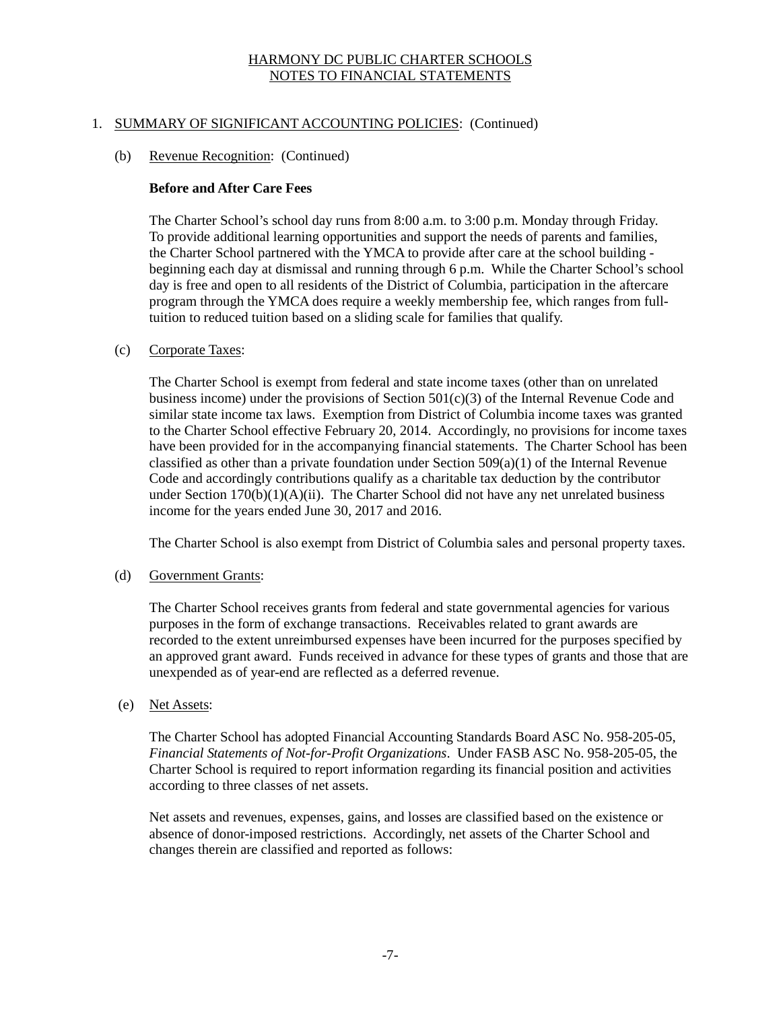## 1. SUMMARY OF SIGNIFICANT ACCOUNTING POLICIES: (Continued)

#### (b) Revenue Recognition: (Continued)

#### **Before and After Care Fees**

The Charter School's school day runs from 8:00 a.m. to 3:00 p.m. Monday through Friday. To provide additional learning opportunities and support the needs of parents and families, the Charter School partnered with the YMCA to provide after care at the school building beginning each day at dismissal and running through 6 p.m. While the Charter School's school day is free and open to all residents of the District of Columbia, participation in the aftercare program through the YMCA does require a weekly membership fee, which ranges from fulltuition to reduced tuition based on a sliding scale for families that qualify.

#### (c) Corporate Taxes:

The Charter School is exempt from federal and state income taxes (other than on unrelated business income) under the provisions of Section  $501(c)(3)$  of the Internal Revenue Code and similar state income tax laws. Exemption from District of Columbia income taxes was granted to the Charter School effective February 20, 2014. Accordingly, no provisions for income taxes have been provided for in the accompanying financial statements. The Charter School has been classified as other than a private foundation under Section 509(a)(1) of the Internal Revenue Code and accordingly contributions qualify as a charitable tax deduction by the contributor under Section  $170(b)(1)(A)(ii)$ . The Charter School did not have any net unrelated business income for the years ended June 30, 2017 and 2016.

The Charter School is also exempt from District of Columbia sales and personal property taxes.

## (d) Government Grants:

The Charter School receives grants from federal and state governmental agencies for various purposes in the form of exchange transactions. Receivables related to grant awards are recorded to the extent unreimbursed expenses have been incurred for the purposes specified by an approved grant award. Funds received in advance for these types of grants and those that are unexpended as of year-end are reflected as a deferred revenue.

(e) Net Assets:

The Charter School has adopted Financial Accounting Standards Board ASC No. 958-205-05, *Financial Statements of Not-for-Profit Organizations*. Under FASB ASC No. 958-205-05, the Charter School is required to report information regarding its financial position and activities according to three classes of net assets.

Net assets and revenues, expenses, gains, and losses are classified based on the existence or absence of donor-imposed restrictions. Accordingly, net assets of the Charter School and changes therein are classified and reported as follows: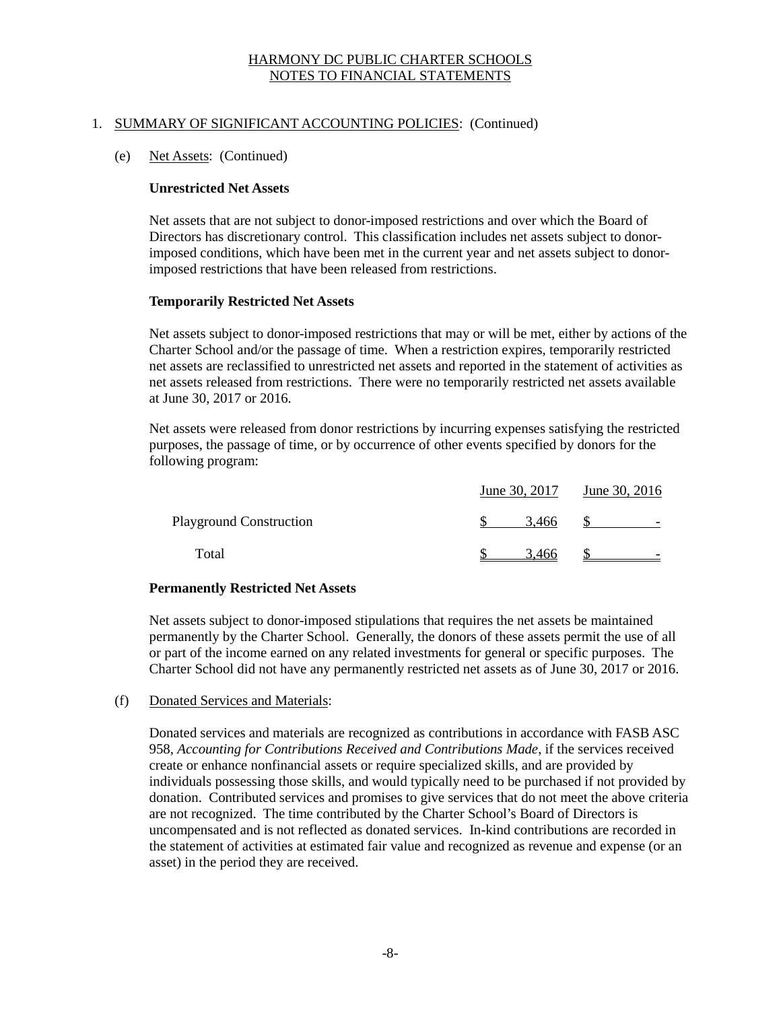## 1. SUMMARY OF SIGNIFICANT ACCOUNTING POLICIES: (Continued)

#### (e) Net Assets: (Continued)

#### **Unrestricted Net Assets**

Net assets that are not subject to donor-imposed restrictions and over which the Board of Directors has discretionary control. This classification includes net assets subject to donorimposed conditions, which have been met in the current year and net assets subject to donorimposed restrictions that have been released from restrictions.

#### **Temporarily Restricted Net Assets**

Net assets subject to donor-imposed restrictions that may or will be met, either by actions of the Charter School and/or the passage of time. When a restriction expires, temporarily restricted net assets are reclassified to unrestricted net assets and reported in the statement of activities as net assets released from restrictions. There were no temporarily restricted net assets available at June 30, 2017 or 2016.

Net assets were released from donor restrictions by incurring expenses satisfying the restricted purposes, the passage of time, or by occurrence of other events specified by donors for the following program:

|                                |       | June 30, 2017 June 30, 2016 |
|--------------------------------|-------|-----------------------------|
| <b>Playground Construction</b> | 3.466 | $\overline{\phantom{0}}$    |
| Total                          | 3.466 | $\overline{\phantom{0}}$    |

#### **Permanently Restricted Net Assets**

Net assets subject to donor-imposed stipulations that requires the net assets be maintained permanently by the Charter School. Generally, the donors of these assets permit the use of all or part of the income earned on any related investments for general or specific purposes. The Charter School did not have any permanently restricted net assets as of June 30, 2017 or 2016.

#### (f) Donated Services and Materials:

Donated services and materials are recognized as contributions in accordance with FASB ASC 958, *Accounting for Contributions Received and Contributions Made*, if the services received create or enhance nonfinancial assets or require specialized skills, and are provided by individuals possessing those skills, and would typically need to be purchased if not provided by donation. Contributed services and promises to give services that do not meet the above criteria are not recognized. The time contributed by the Charter School's Board of Directors is uncompensated and is not reflected as donated services. In-kind contributions are recorded in the statement of activities at estimated fair value and recognized as revenue and expense (or an asset) in the period they are received.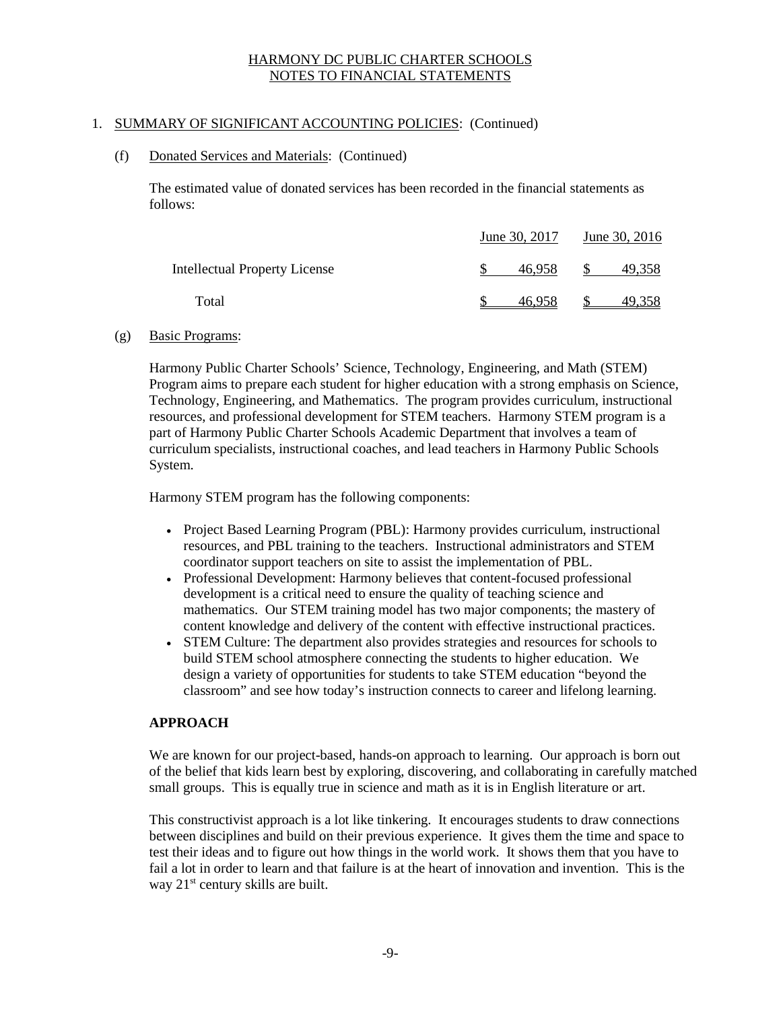#### 1. SUMMARY OF SIGNIFICANT ACCOUNTING POLICIES: (Continued)

#### (f) Donated Services and Materials: (Continued)

The estimated value of donated services has been recorded in the financial statements as follows:

|                                      | June 30, 2017 |        | June 30, 2016 |        |  |
|--------------------------------------|---------------|--------|---------------|--------|--|
| <b>Intellectual Property License</b> |               | 46.958 |               | 49.358 |  |
| Total                                |               | 46.958 |               | 49.358 |  |

#### (g) Basic Programs:

Harmony Public Charter Schools' Science, Technology, Engineering, and Math (STEM) Program aims to prepare each student for higher education with a strong emphasis on Science, Technology, Engineering, and Mathematics. The program provides curriculum, instructional resources, and professional development for STEM teachers. Harmony STEM program is a part of Harmony Public Charter Schools Academic Department that involves a team of curriculum specialists, instructional coaches, and lead teachers in Harmony Public Schools System.

Harmony STEM program has the following components:

- Project Based Learning Program (PBL): Harmony provides curriculum, instructional resources, and PBL training to the teachers. Instructional administrators and STEM coordinator support teachers on site to assist the implementation of PBL.
- Professional Development: Harmony believes that content-focused professional development is a critical need to ensure the quality of teaching science and mathematics. Our STEM training model has two major components; the mastery of content knowledge and delivery of the content with effective instructional practices.
- STEM Culture: The department also provides strategies and resources for schools to build STEM school atmosphere connecting the students to higher education. We design a variety of opportunities for students to take STEM education "beyond the classroom" and see how today's instruction connects to career and lifelong learning.

#### **APPROACH**

We are known for our project-based, hands-on approach to learning. Our approach is born out of the belief that kids learn best by exploring, discovering, and collaborating in carefully matched small groups. This is equally true in science and math as it is in English literature or art.

This constructivist approach is a lot like tinkering. It encourages students to draw connections between disciplines and build on their previous experience. It gives them the time and space to test their ideas and to figure out how things in the world work. It shows them that you have to fail a lot in order to learn and that failure is at the heart of innovation and invention. This is the way 21<sup>st</sup> century skills are built.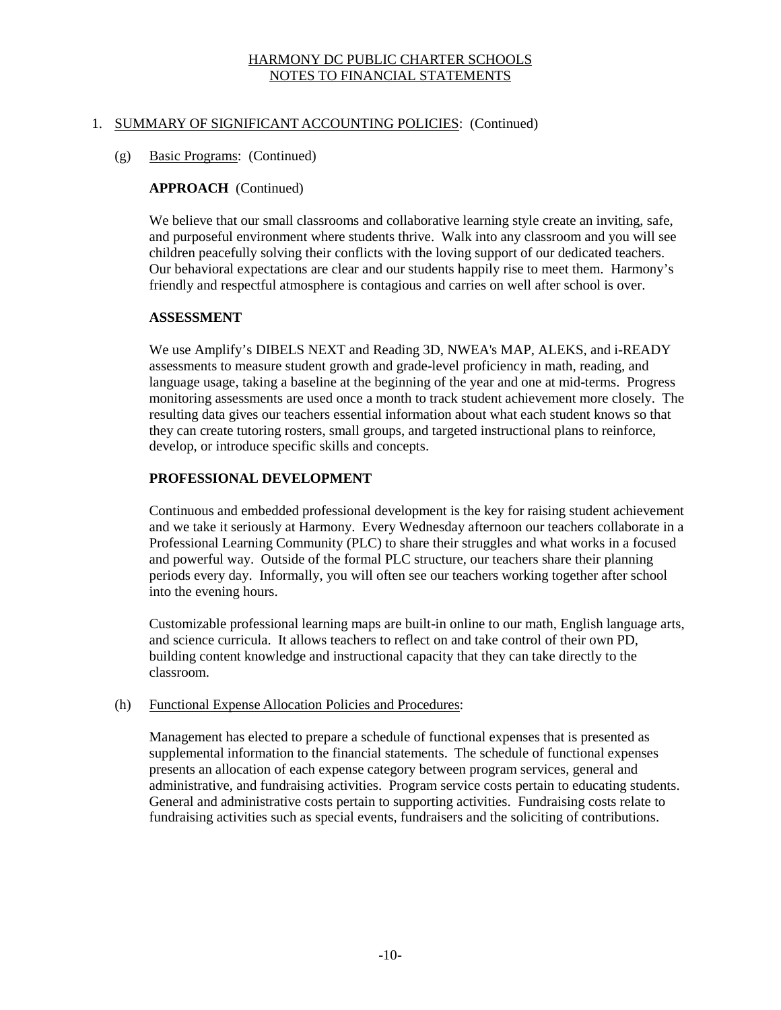## 1. SUMMARY OF SIGNIFICANT ACCOUNTING POLICIES: (Continued)

#### (g) Basic Programs: (Continued)

#### **APPROACH** (Continued)

We believe that our small classrooms and collaborative learning style create an inviting, safe, and purposeful environment where students thrive. Walk into any classroom and you will see children peacefully solving their conflicts with the loving support of our dedicated teachers. Our behavioral expectations are clear and our students happily rise to meet them. Harmony's friendly and respectful atmosphere is contagious and carries on well after school is over.

#### **ASSESSMENT**

We use Amplify's DIBELS NEXT and Reading 3D, NWEA's MAP, ALEKS, and i-READY assessments to measure student growth and grade-level proficiency in math, reading, and language usage, taking a baseline at the beginning of the year and one at mid-terms. Progress monitoring assessments are used once a month to track student achievement more closely. The resulting data gives our teachers essential information about what each student knows so that they can create tutoring rosters, small groups, and targeted instructional plans to reinforce, develop, or introduce specific skills and concepts.

## **PROFESSIONAL DEVELOPMENT**

Continuous and embedded professional development is the key for raising student achievement and we take it seriously at Harmony. Every Wednesday afternoon our teachers collaborate in a Professional Learning Community (PLC) to share their struggles and what works in a focused and powerful way. Outside of the formal PLC structure, our teachers share their planning periods every day. Informally, you will often see our teachers working together after school into the evening hours.

Customizable professional learning maps are built-in online to our math, English language arts, and science curricula. It allows teachers to reflect on and take control of their own PD, building content knowledge and instructional capacity that they can take directly to the classroom.

#### (h) Functional Expense Allocation Policies and Procedures:

Management has elected to prepare a schedule of functional expenses that is presented as supplemental information to the financial statements. The schedule of functional expenses presents an allocation of each expense category between program services, general and administrative, and fundraising activities. Program service costs pertain to educating students. General and administrative costs pertain to supporting activities. Fundraising costs relate to fundraising activities such as special events, fundraisers and the soliciting of contributions.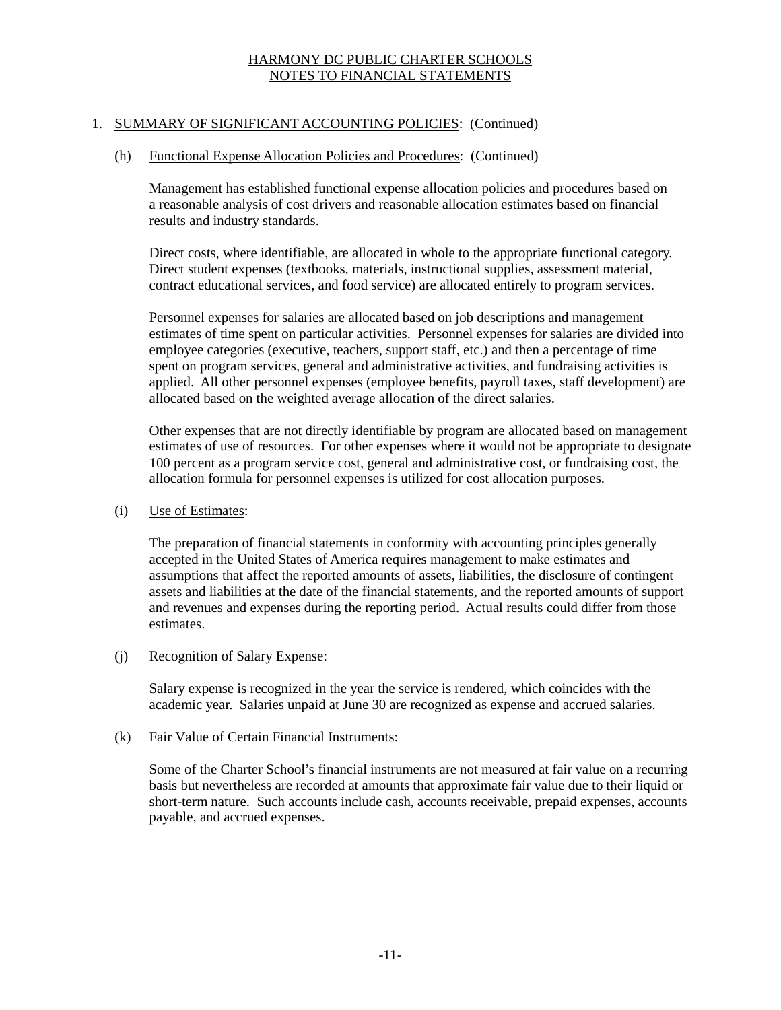## 1. SUMMARY OF SIGNIFICANT ACCOUNTING POLICIES: (Continued)

#### (h) Functional Expense Allocation Policies and Procedures: (Continued)

Management has established functional expense allocation policies and procedures based on a reasonable analysis of cost drivers and reasonable allocation estimates based on financial results and industry standards.

Direct costs, where identifiable, are allocated in whole to the appropriate functional category. Direct student expenses (textbooks, materials, instructional supplies, assessment material, contract educational services, and food service) are allocated entirely to program services.

Personnel expenses for salaries are allocated based on job descriptions and management estimates of time spent on particular activities. Personnel expenses for salaries are divided into employee categories (executive, teachers, support staff, etc.) and then a percentage of time spent on program services, general and administrative activities, and fundraising activities is applied. All other personnel expenses (employee benefits, payroll taxes, staff development) are allocated based on the weighted average allocation of the direct salaries.

Other expenses that are not directly identifiable by program are allocated based on management estimates of use of resources. For other expenses where it would not be appropriate to designate 100 percent as a program service cost, general and administrative cost, or fundraising cost, the allocation formula for personnel expenses is utilized for cost allocation purposes.

## (i) Use of Estimates:

The preparation of financial statements in conformity with accounting principles generally accepted in the United States of America requires management to make estimates and assumptions that affect the reported amounts of assets, liabilities, the disclosure of contingent assets and liabilities at the date of the financial statements, and the reported amounts of support and revenues and expenses during the reporting period. Actual results could differ from those estimates.

#### (j) Recognition of Salary Expense:

Salary expense is recognized in the year the service is rendered, which coincides with the academic year. Salaries unpaid at June 30 are recognized as expense and accrued salaries.

#### (k) Fair Value of Certain Financial Instruments:

Some of the Charter School's financial instruments are not measured at fair value on a recurring basis but nevertheless are recorded at amounts that approximate fair value due to their liquid or short-term nature. Such accounts include cash, accounts receivable, prepaid expenses, accounts payable, and accrued expenses.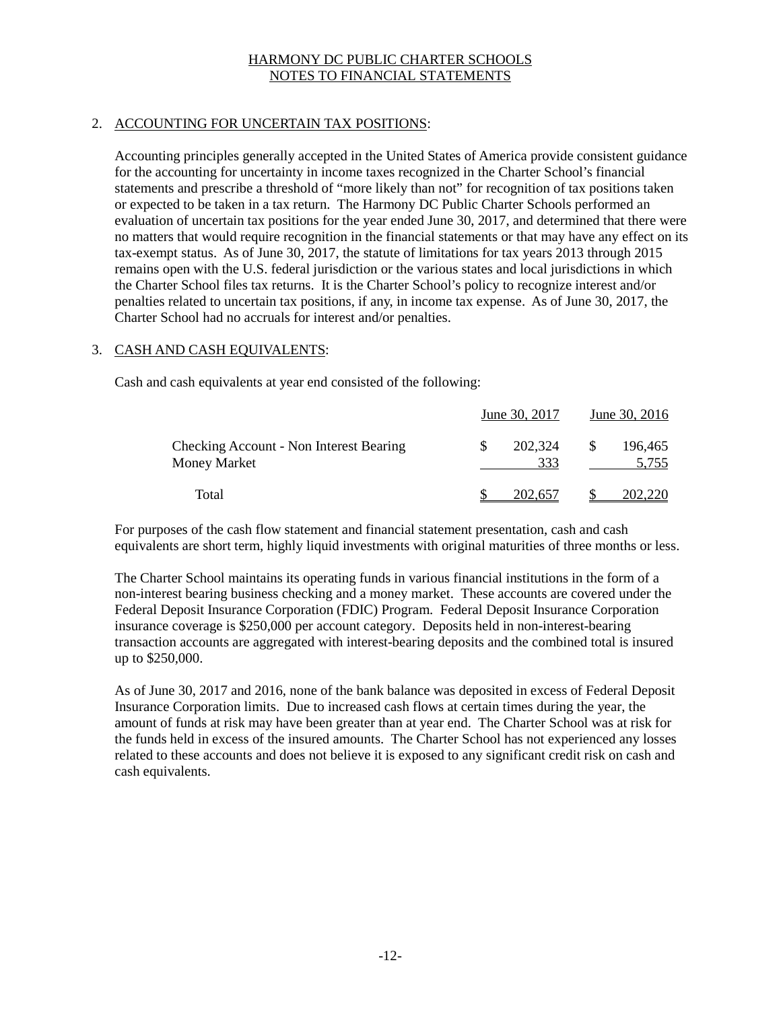## 2. ACCOUNTING FOR UNCERTAIN TAX POSITIONS:

Accounting principles generally accepted in the United States of America provide consistent guidance for the accounting for uncertainty in income taxes recognized in the Charter School's financial statements and prescribe a threshold of "more likely than not" for recognition of tax positions taken or expected to be taken in a tax return. The Harmony DC Public Charter Schools performed an evaluation of uncertain tax positions for the year ended June 30, 2017, and determined that there were no matters that would require recognition in the financial statements or that may have any effect on its tax-exempt status. As of June 30, 2017, the statute of limitations for tax years 2013 through 2015 remains open with the U.S. federal jurisdiction or the various states and local jurisdictions in which the Charter School files tax returns. It is the Charter School's policy to recognize interest and/or penalties related to uncertain tax positions, if any, in income tax expense. As of June 30, 2017, the Charter School had no accruals for interest and/or penalties.

## 3. CASH AND CASH EQUIVALENTS:

Cash and cash equivalents at year end consisted of the following:

|                                                         |  | June 30, 2017  | June 30, 2016 |                  |  |
|---------------------------------------------------------|--|----------------|---------------|------------------|--|
| Checking Account - Non Interest Bearing<br>Money Market |  | 202,324<br>333 |               | 196,465<br>5,755 |  |
| Total                                                   |  | 202.657        |               | 202.220          |  |

For purposes of the cash flow statement and financial statement presentation, cash and cash equivalents are short term, highly liquid investments with original maturities of three months or less.

The Charter School maintains its operating funds in various financial institutions in the form of a non-interest bearing business checking and a money market. These accounts are covered under the Federal Deposit Insurance Corporation (FDIC) Program. Federal Deposit Insurance Corporation insurance coverage is \$250,000 per account category. Deposits held in non-interest-bearing transaction accounts are aggregated with interest-bearing deposits and the combined total is insured up to \$250,000.

As of June 30, 2017 and 2016, none of the bank balance was deposited in excess of Federal Deposit Insurance Corporation limits. Due to increased cash flows at certain times during the year, the amount of funds at risk may have been greater than at year end. The Charter School was at risk for the funds held in excess of the insured amounts. The Charter School has not experienced any losses related to these accounts and does not believe it is exposed to any significant credit risk on cash and cash equivalents.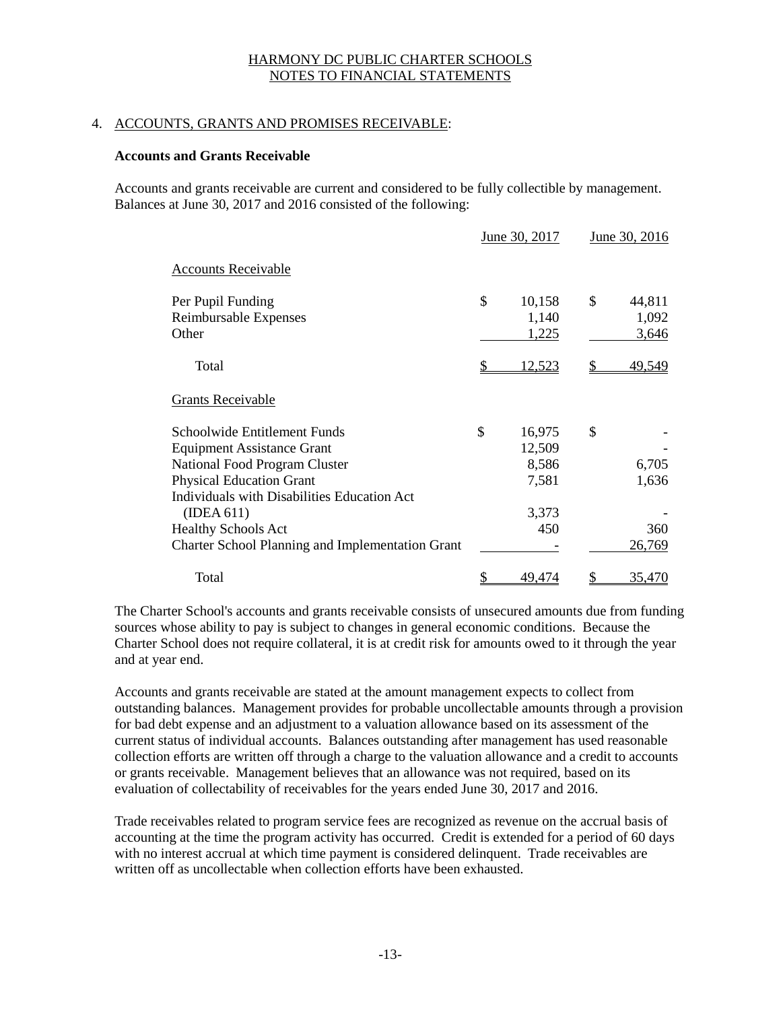## 4. ACCOUNTS, GRANTS AND PROMISES RECEIVABLE:

#### **Accounts and Grants Receivable**

Accounts and grants receivable are current and considered to be fully collectible by management. Balances at June 30, 2017 and 2016 consisted of the following:

|                                                                                                                                                                                                                                                                                             | June 30, 2017                                            | June 30, 2016 |                                 |
|---------------------------------------------------------------------------------------------------------------------------------------------------------------------------------------------------------------------------------------------------------------------------------------------|----------------------------------------------------------|---------------|---------------------------------|
| <b>Accounts Receivable</b>                                                                                                                                                                                                                                                                  |                                                          |               |                                 |
| Per Pupil Funding<br>Reimbursable Expenses<br>Other                                                                                                                                                                                                                                         | \$<br>10,158<br>1,140<br>1,225                           | \$            | 44,811<br>1,092<br>3,646        |
| Total                                                                                                                                                                                                                                                                                       | \$<br>12,523                                             | \$            | 49,549                          |
| Grants Receivable                                                                                                                                                                                                                                                                           |                                                          |               |                                 |
| Schoolwide Entitlement Funds<br><b>Equipment Assistance Grant</b><br>National Food Program Cluster<br><b>Physical Education Grant</b><br>Individuals with Disabilities Education Act<br>(IDEA 611)<br><b>Healthy Schools Act</b><br><b>Charter School Planning and Implementation Grant</b> | \$<br>16,975<br>12,509<br>8,586<br>7,581<br>3,373<br>450 | \$            | 6,705<br>1,636<br>360<br>26,769 |
| Total                                                                                                                                                                                                                                                                                       | <u>49,474</u>                                            |               | <u>35,470</u>                   |

The Charter School's accounts and grants receivable consists of unsecured amounts due from funding sources whose ability to pay is subject to changes in general economic conditions. Because the Charter School does not require collateral, it is at credit risk for amounts owed to it through the year and at year end.

Accounts and grants receivable are stated at the amount management expects to collect from outstanding balances. Management provides for probable uncollectable amounts through a provision for bad debt expense and an adjustment to a valuation allowance based on its assessment of the current status of individual accounts. Balances outstanding after management has used reasonable collection efforts are written off through a charge to the valuation allowance and a credit to accounts or grants receivable. Management believes that an allowance was not required, based on its evaluation of collectability of receivables for the years ended June 30, 2017 and 2016.

Trade receivables related to program service fees are recognized as revenue on the accrual basis of accounting at the time the program activity has occurred. Credit is extended for a period of 60 days with no interest accrual at which time payment is considered delinquent. Trade receivables are written off as uncollectable when collection efforts have been exhausted.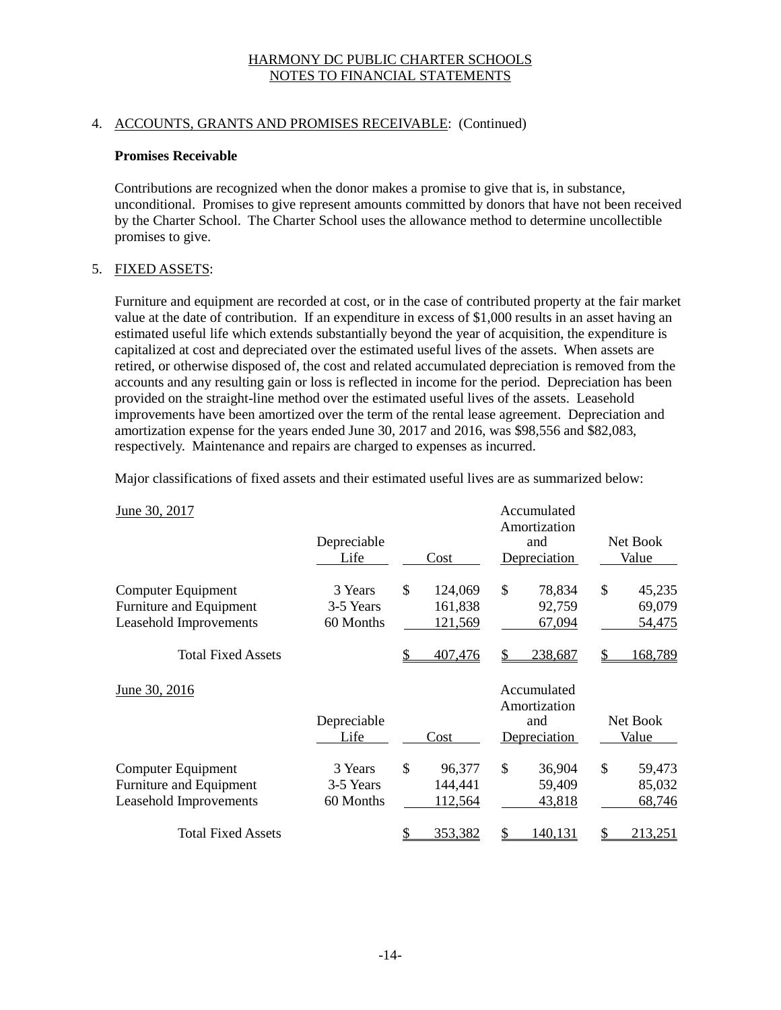## 4. ACCOUNTS, GRANTS AND PROMISES RECEIVABLE: (Continued)

#### **Promises Receivable**

Contributions are recognized when the donor makes a promise to give that is, in substance, unconditional. Promises to give represent amounts committed by donors that have not been received by the Charter School. The Charter School uses the allowance method to determine uncollectible promises to give.

## 5. FIXED ASSETS:

Furniture and equipment are recorded at cost, or in the case of contributed property at the fair market value at the date of contribution. If an expenditure in excess of \$1,000 results in an asset having an estimated useful life which extends substantially beyond the year of acquisition, the expenditure is capitalized at cost and depreciated over the estimated useful lives of the assets. When assets are retired, or otherwise disposed of, the cost and related accumulated depreciation is removed from the accounts and any resulting gain or loss is reflected in income for the period. Depreciation has been provided on the straight-line method over the estimated useful lives of the assets. Leasehold improvements have been amortized over the term of the rental lease agreement. Depreciation and amortization expense for the years ended June 30, 2017 and 2016, was \$98,556 and \$82,083, respectively. Maintenance and repairs are charged to expenses as incurred.

Major classifications of fixed assets and their estimated useful lives are as summarized below:

| June 30, 2017                 |             |                         | Accumulated<br>Amortization |                         |
|-------------------------------|-------------|-------------------------|-----------------------------|-------------------------|
|                               | Depreciable |                         | and                         | Net Book                |
|                               | Life        | Cost                    | Depreciation                | Value                   |
| Computer Equipment            | 3 Years     | \$<br>124,069           | \$<br>78,834                | \$<br>45,235            |
| Furniture and Equipment       | 3-5 Years   | 161,838                 | 92,759                      | 69,079                  |
| <b>Leasehold Improvements</b> | 60 Months   | 121,569                 | 67,094                      | 54,475                  |
| <b>Total Fixed Assets</b>     |             | 407,476                 | 238,687<br>\$               | <u>168,789</u>          |
| June 30, 2016                 |             |                         | Accumulated                 |                         |
|                               |             |                         | Amortization                |                         |
|                               | Depreciable |                         | and                         | Net Book                |
|                               | Life        | Cost                    | Depreciation                | Value                   |
| Computer Equipment            | 3 Years     | $\mathcal{S}$<br>96,377 | \$<br>36,904                | $\mathcal{S}$<br>59,473 |
| Furniture and Equipment       | 3-5 Years   | 144,441                 | 59,409                      | 85,032                  |
| Leasehold Improvements        | 60 Months   | 112,564                 | 43,818                      | 68,746                  |
| <b>Total Fixed Assets</b>     |             | \$<br>353,382           | 140,131<br>S                | 213,251                 |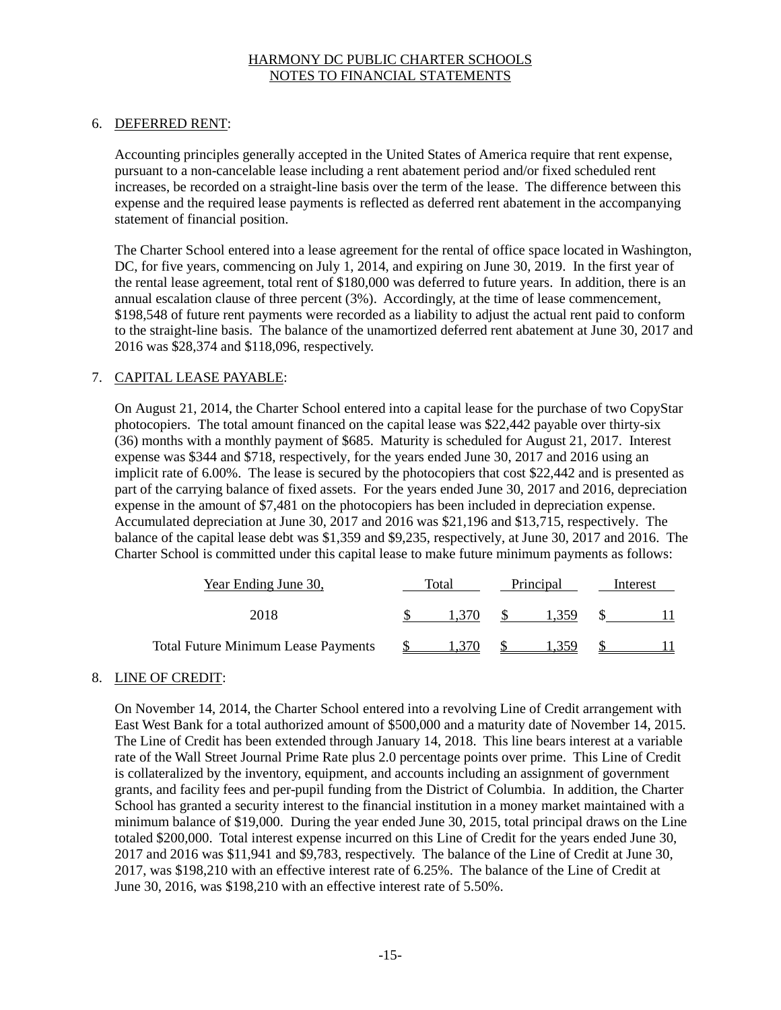#### 6. DEFERRED RENT:

Accounting principles generally accepted in the United States of America require that rent expense, pursuant to a non-cancelable lease including a rent abatement period and/or fixed scheduled rent increases, be recorded on a straight-line basis over the term of the lease. The difference between this expense and the required lease payments is reflected as deferred rent abatement in the accompanying statement of financial position.

The Charter School entered into a lease agreement for the rental of office space located in Washington, DC, for five years, commencing on July 1, 2014, and expiring on June 30, 2019. In the first year of the rental lease agreement, total rent of \$180,000 was deferred to future years. In addition, there is an annual escalation clause of three percent (3%). Accordingly, at the time of lease commencement, \$198,548 of future rent payments were recorded as a liability to adjust the actual rent paid to conform to the straight-line basis. The balance of the unamortized deferred rent abatement at June 30, 2017 and 2016 was \$28,374 and \$118,096, respectively.

## 7. CAPITAL LEASE PAYABLE:

On August 21, 2014, the Charter School entered into a capital lease for the purchase of two CopyStar photocopiers. The total amount financed on the capital lease was \$22,442 payable over thirty-six (36) months with a monthly payment of \$685. Maturity is scheduled for August 21, 2017. Interest expense was \$344 and \$718, respectively, for the years ended June 30, 2017 and 2016 using an implicit rate of 6.00%. The lease is secured by the photocopiers that cost \$22,442 and is presented as part of the carrying balance of fixed assets. For the years ended June 30, 2017 and 2016, depreciation expense in the amount of \$7,481 on the photocopiers has been included in depreciation expense. Accumulated depreciation at June 30, 2017 and 2016 was \$21,196 and \$13,715, respectively. The balance of the capital lease debt was \$1,359 and \$9,235, respectively, at June 30, 2017 and 2016. The Charter School is committed under this capital lease to make future minimum payments as follows:

| Year Ending June 30,                       | Total | Principal | Interest |  |
|--------------------------------------------|-------|-----------|----------|--|
| 2018                                       | 1.370 | 1.359     |          |  |
| <b>Total Future Minimum Lease Payments</b> | 1.370 | 1.359     |          |  |

#### 8. LINE OF CREDIT:

On November 14, 2014, the Charter School entered into a revolving Line of Credit arrangement with East West Bank for a total authorized amount of \$500,000 and a maturity date of November 14, 2015. The Line of Credit has been extended through January 14, 2018. This line bears interest at a variable rate of the Wall Street Journal Prime Rate plus 2.0 percentage points over prime. This Line of Credit is collateralized by the inventory, equipment, and accounts including an assignment of government grants, and facility fees and per-pupil funding from the District of Columbia. In addition, the Charter School has granted a security interest to the financial institution in a money market maintained with a minimum balance of \$19,000. During the year ended June 30, 2015, total principal draws on the Line totaled \$200,000. Total interest expense incurred on this Line of Credit for the years ended June 30, 2017 and 2016 was \$11,941 and \$9,783, respectively. The balance of the Line of Credit at June 30, 2017, was \$198,210 with an effective interest rate of 6.25%. The balance of the Line of Credit at June 30, 2016, was \$198,210 with an effective interest rate of 5.50%.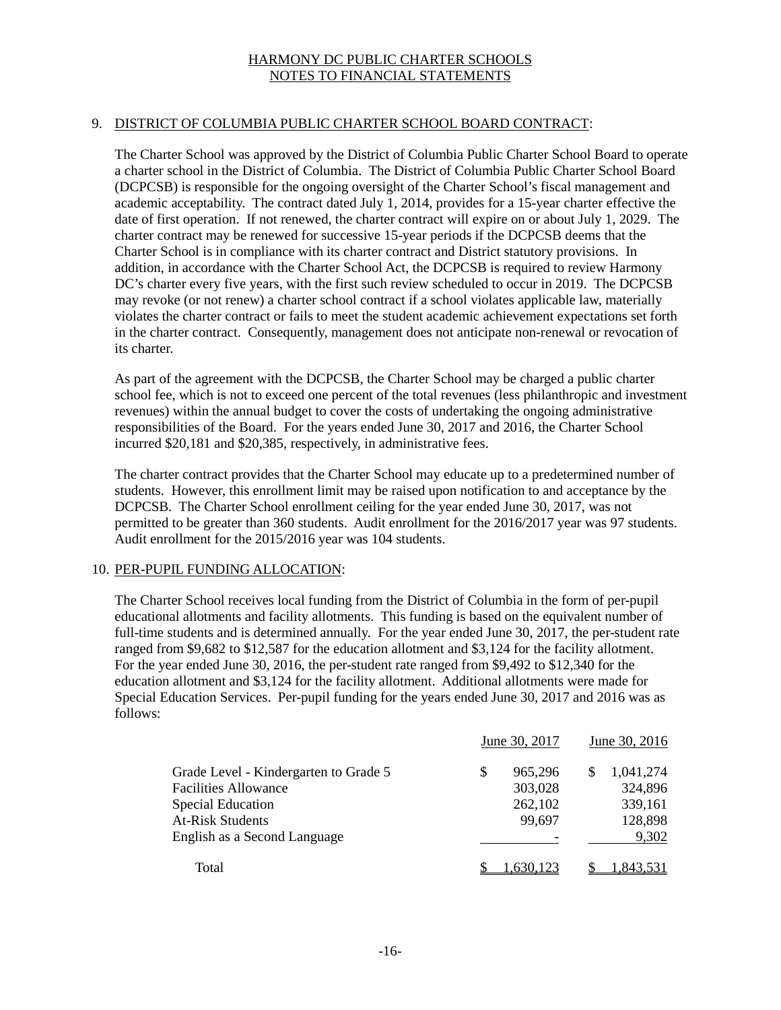#### 9. DISTRICT OF COLUMBIA PUBLIC CHARTER SCHOOL BOARD CONTRACT:

The Charter School was approved by the District of Columbia Public Charter School Board to operate a charter school in the District of Columbia. The District of Columbia Public Charter School Board (DCPCSB) is responsible for the ongoing oversight of the Charter School's fiscal management and academic acceptability. The contract dated July 1, 2014, provides for a 15-year charter effective the date of first operation. If not renewed, the charter contract will expire on or about July 1, 2029. The charter contract may be renewed for successive 15-year periods if the DCPCSB deems that the Charter School is in compliance with its charter contract and District statutory provisions. In addition, in accordance with the Charter School Act, the DCPCSB is required to review Harmony DC's charter every five years, with the first such review scheduled to occur in 2019. The DCPCSB may revoke (or not renew) a charter school contract if a school violates applicable law, materially violates the charter contract or fails to meet the student academic achievement expectations set forth in the charter contract. Consequently, management does not anticipate non-renewal or revocation of its charter.

As part of the agreement with the DCPCSB, the Charter School may be charged a public charter school fee, which is not to exceed one percent of the total revenues (less philanthropic and investment revenues) within the annual budget to cover the costs of undertaking the ongoing administrative responsibilities of the Board. For the years ended June 30, 2017 and 2016, the Charter School incurred \$20,181 and \$20,385, respectively, in administrative fees.

The charter contract provides that the Charter School may educate up to a predetermined number of students. However, this enrollment limit may be raised upon notification to and acceptance by the DCPCSB. The Charter School enrollment ceiling for the year ended June 30, 2017, was not permitted to be greater than 360 students. Audit enrollment for the 2016/2017 year was 97 students. Audit enrollment for the 2015/2016 year was 104 students.

#### 10. PER-PUPIL FUNDING ALLOCATION:

The Charter School receives local funding from the District of Columbia in the form of per-pupil educational allotments and facility allotments. This funding is based on the equivalent number of full-time students and is determined annually. For the year ended June 30, 2017, the per-student rate ranged from \$9,682 to \$12,587 for the education allotment and \$3,124 for the facility allotment. For the year ended June 30, 2016, the per-student rate ranged from \$9,492 to \$12,340 for the education allotment and \$3,124 for the facility allotment. Additional allotments were made for Special Education Services. Per-pupil funding for the years ended June 30, 2017 and 2016 was as follows:

|                                       | June 30, 2017 |           |   | June 30, 2016 |
|---------------------------------------|---------------|-----------|---|---------------|
| Grade Level - Kindergarten to Grade 5 | \$            | 965,296   | S | 1,041,274     |
| <b>Facilities Allowance</b>           |               | 303,028   |   | 324,896       |
| <b>Special Education</b>              |               | 262,102   |   | 339,161       |
| <b>At-Risk Students</b>               |               | 99,697    |   | 128,898       |
| English as a Second Language          |               |           |   | 9,302         |
| Total                                 |               | 1.630.123 |   | .843,531      |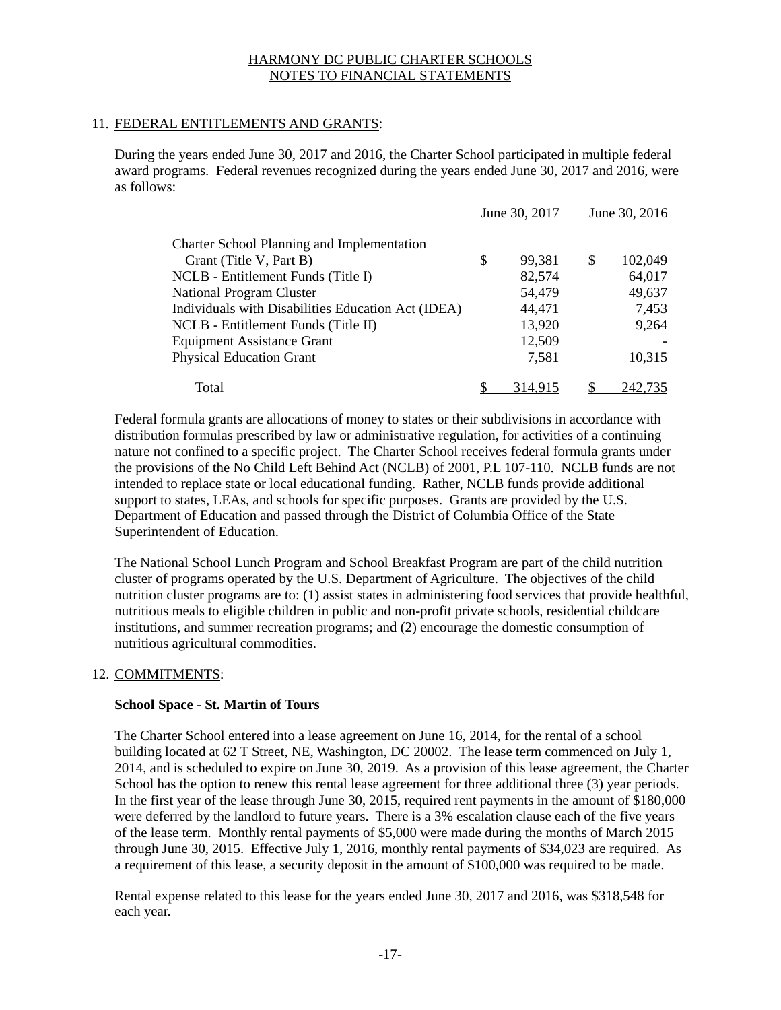## 11. FEDERAL ENTITLEMENTS AND GRANTS:

During the years ended June 30, 2017 and 2016, the Charter School participated in multiple federal award programs. Federal revenues recognized during the years ended June 30, 2017 and 2016, were as follows:

|                                                    | June 30, 2017 |         | June 30, 2016 |
|----------------------------------------------------|---------------|---------|---------------|
| Charter School Planning and Implementation         |               |         |               |
| Grant (Title V, Part B)                            | \$            | 99,381  | \$<br>102,049 |
| NCLB - Entitlement Funds (Title I)                 |               | 82,574  | 64,017        |
| <b>National Program Cluster</b>                    |               | 54,479  | 49,637        |
| Individuals with Disabilities Education Act (IDEA) |               | 44,471  | 7,453         |
| NCLB - Entitlement Funds (Title II)                |               | 13,920  | 9,264         |
| <b>Equipment Assistance Grant</b>                  |               | 12,509  |               |
| <b>Physical Education Grant</b>                    |               | 7,581   | 10,315        |
| Total                                              |               | 314.915 | 242.7         |

Federal formula grants are allocations of money to states or their subdivisions in accordance with distribution formulas prescribed by law or administrative regulation, for activities of a continuing nature not confined to a specific project. The Charter School receives federal formula grants under the provisions of the No Child Left Behind Act (NCLB) of 2001, P.L 107-110. NCLB funds are not intended to replace state or local educational funding. Rather, NCLB funds provide additional support to states, LEAs, and schools for specific purposes. Grants are provided by the U.S. Department of Education and passed through the District of Columbia Office of the State Superintendent of Education.

The National School Lunch Program and School Breakfast Program are part of the child nutrition cluster of programs operated by the U.S. Department of Agriculture. The objectives of the child nutrition cluster programs are to: (1) assist states in administering food services that provide healthful, nutritious meals to eligible children in public and non-profit private schools, residential childcare institutions, and summer recreation programs; and (2) encourage the domestic consumption of nutritious agricultural commodities.

#### 12. COMMITMENTS:

#### **School Space - St. Martin of Tours**

The Charter School entered into a lease agreement on June 16, 2014, for the rental of a school building located at 62 T Street, NE, Washington, DC 20002. The lease term commenced on July 1, 2014, and is scheduled to expire on June 30, 2019. As a provision of this lease agreement, the Charter School has the option to renew this rental lease agreement for three additional three (3) year periods. In the first year of the lease through June 30, 2015, required rent payments in the amount of \$180,000 were deferred by the landlord to future years. There is a 3% escalation clause each of the five years of the lease term. Monthly rental payments of \$5,000 were made during the months of March 2015 through June 30, 2015. Effective July 1, 2016, monthly rental payments of \$34,023 are required. As a requirement of this lease, a security deposit in the amount of \$100,000 was required to be made.

Rental expense related to this lease for the years ended June 30, 2017 and 2016, was \$318,548 for each year.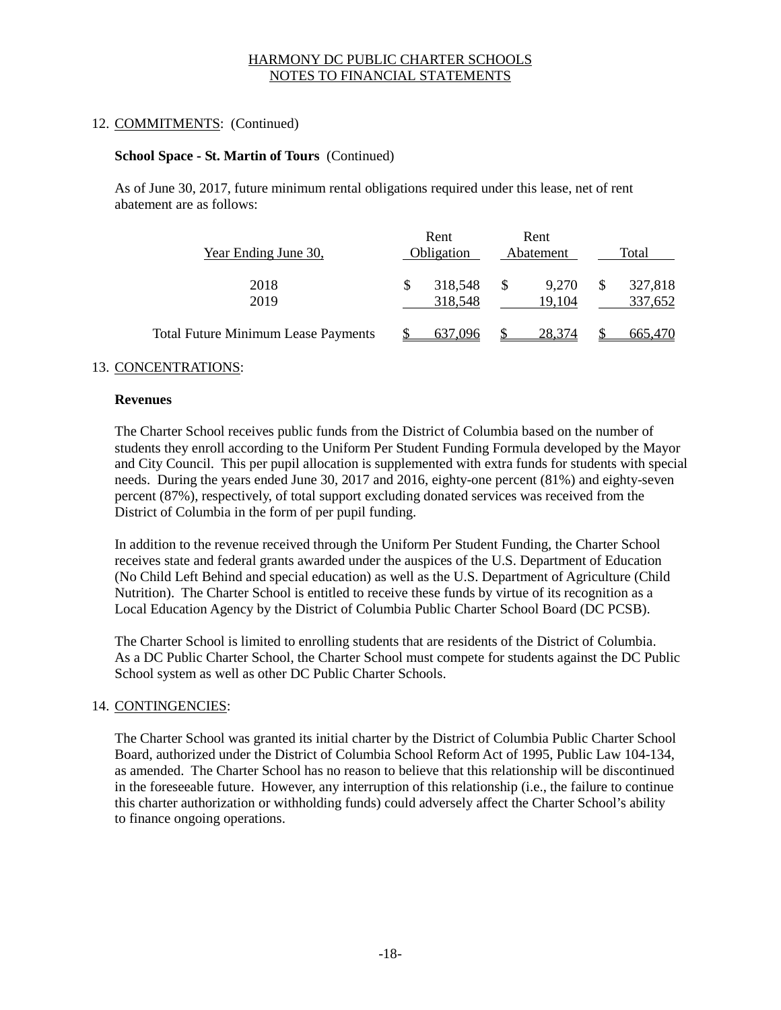## 12. COMMITMENTS: (Continued)

#### **School Space - St. Martin of Tours** (Continued)

As of June 30, 2017, future minimum rental obligations required under this lease, net of rent abatement are as follows:

| Year Ending June 30,                       |  | Rent<br>Obligation |   | Rent<br>Abatement | Total |                    |  |
|--------------------------------------------|--|--------------------|---|-------------------|-------|--------------------|--|
| 2018<br>2019                               |  | 318,548<br>318,548 | S | 9.270<br>19.104   |       | 327,818<br>337,652 |  |
| <b>Total Future Minimum Lease Payments</b> |  | 637.096            |   | 28,374            |       | 665,470            |  |

#### 13. CONCENTRATIONS:

#### **Revenues**

The Charter School receives public funds from the District of Columbia based on the number of students they enroll according to the Uniform Per Student Funding Formula developed by the Mayor and City Council. This per pupil allocation is supplemented with extra funds for students with special needs. During the years ended June 30, 2017 and 2016, eighty-one percent (81%) and eighty-seven percent (87%), respectively, of total support excluding donated services was received from the District of Columbia in the form of per pupil funding.

In addition to the revenue received through the Uniform Per Student Funding, the Charter School receives state and federal grants awarded under the auspices of the U.S. Department of Education (No Child Left Behind and special education) as well as the U.S. Department of Agriculture (Child Nutrition). The Charter School is entitled to receive these funds by virtue of its recognition as a Local Education Agency by the District of Columbia Public Charter School Board (DC PCSB).

The Charter School is limited to enrolling students that are residents of the District of Columbia. As a DC Public Charter School, the Charter School must compete for students against the DC Public School system as well as other DC Public Charter Schools.

#### 14. CONTINGENCIES:

The Charter School was granted its initial charter by the District of Columbia Public Charter School Board, authorized under the District of Columbia School Reform Act of 1995, Public Law 104-134, as amended. The Charter School has no reason to believe that this relationship will be discontinued in the foreseeable future. However, any interruption of this relationship (i.e., the failure to continue this charter authorization or withholding funds) could adversely affect the Charter School's ability to finance ongoing operations.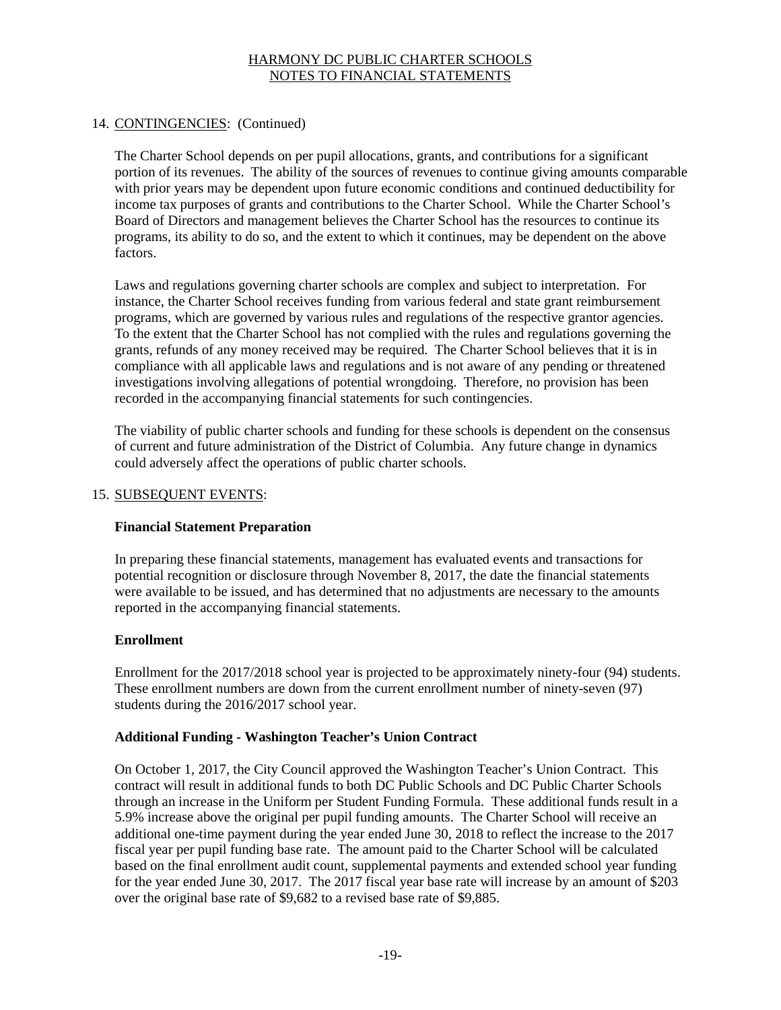#### 14. CONTINGENCIES: (Continued)

The Charter School depends on per pupil allocations, grants, and contributions for a significant portion of its revenues. The ability of the sources of revenues to continue giving amounts comparable with prior years may be dependent upon future economic conditions and continued deductibility for income tax purposes of grants and contributions to the Charter School. While the Charter School's Board of Directors and management believes the Charter School has the resources to continue its programs, its ability to do so, and the extent to which it continues, may be dependent on the above factors.

Laws and regulations governing charter schools are complex and subject to interpretation. For instance, the Charter School receives funding from various federal and state grant reimbursement programs, which are governed by various rules and regulations of the respective grantor agencies. To the extent that the Charter School has not complied with the rules and regulations governing the grants, refunds of any money received may be required. The Charter School believes that it is in compliance with all applicable laws and regulations and is not aware of any pending or threatened investigations involving allegations of potential wrongdoing. Therefore, no provision has been recorded in the accompanying financial statements for such contingencies.

The viability of public charter schools and funding for these schools is dependent on the consensus of current and future administration of the District of Columbia. Any future change in dynamics could adversely affect the operations of public charter schools.

## 15. SUBSEQUENT EVENTS:

#### **Financial Statement Preparation**

In preparing these financial statements, management has evaluated events and transactions for potential recognition or disclosure through November 8, 2017, the date the financial statements were available to be issued, and has determined that no adjustments are necessary to the amounts reported in the accompanying financial statements.

#### **Enrollment**

Enrollment for the 2017/2018 school year is projected to be approximately ninety-four (94) students. These enrollment numbers are down from the current enrollment number of ninety-seven (97) students during the 2016/2017 school year.

#### **Additional Funding - Washington Teacher's Union Contract**

On October 1, 2017, the City Council approved the Washington Teacher's Union Contract. This contract will result in additional funds to both DC Public Schools and DC Public Charter Schools through an increase in the Uniform per Student Funding Formula. These additional funds result in a 5.9% increase above the original per pupil funding amounts. The Charter School will receive an additional one-time payment during the year ended June 30, 2018 to reflect the increase to the 2017 fiscal year per pupil funding base rate. The amount paid to the Charter School will be calculated based on the final enrollment audit count, supplemental payments and extended school year funding for the year ended June 30, 2017. The 2017 fiscal year base rate will increase by an amount of \$203 over the original base rate of \$9,682 to a revised base rate of \$9,885.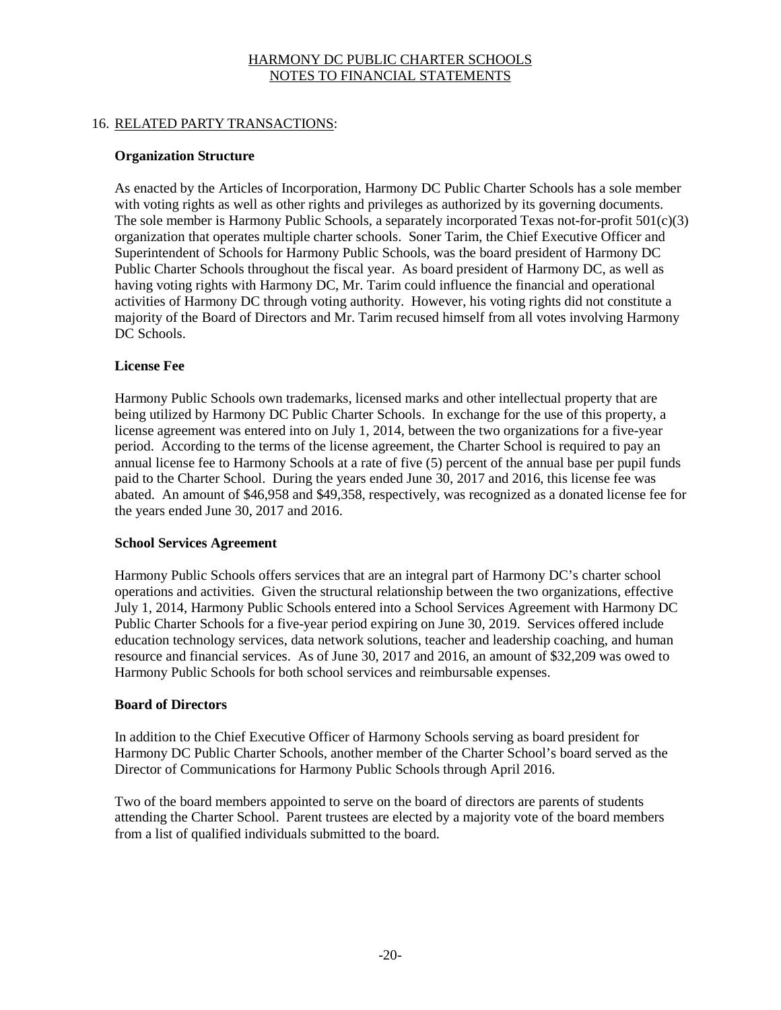#### 16. RELATED PARTY TRANSACTIONS:

#### **Organization Structure**

As enacted by the Articles of Incorporation, Harmony DC Public Charter Schools has a sole member with voting rights as well as other rights and privileges as authorized by its governing documents. The sole member is Harmony Public Schools, a separately incorporated Texas not-for-profit 501(c)(3) organization that operates multiple charter schools. Soner Tarim, the Chief Executive Officer and Superintendent of Schools for Harmony Public Schools, was the board president of Harmony DC Public Charter Schools throughout the fiscal year. As board president of Harmony DC, as well as having voting rights with Harmony DC, Mr. Tarim could influence the financial and operational activities of Harmony DC through voting authority. However, his voting rights did not constitute a majority of the Board of Directors and Mr. Tarim recused himself from all votes involving Harmony DC Schools.

## **License Fee**

Harmony Public Schools own trademarks, licensed marks and other intellectual property that are being utilized by Harmony DC Public Charter Schools. In exchange for the use of this property, a license agreement was entered into on July 1, 2014, between the two organizations for a five-year period. According to the terms of the license agreement, the Charter School is required to pay an annual license fee to Harmony Schools at a rate of five (5) percent of the annual base per pupil funds paid to the Charter School. During the years ended June 30, 2017 and 2016, this license fee was abated. An amount of \$46,958 and \$49,358, respectively, was recognized as a donated license fee for the years ended June 30, 2017 and 2016.

#### **School Services Agreement**

Harmony Public Schools offers services that are an integral part of Harmony DC's charter school operations and activities. Given the structural relationship between the two organizations, effective July 1, 2014, Harmony Public Schools entered into a School Services Agreement with Harmony DC Public Charter Schools for a five-year period expiring on June 30, 2019. Services offered include education technology services, data network solutions, teacher and leadership coaching, and human resource and financial services. As of June 30, 2017 and 2016, an amount of \$32,209 was owed to Harmony Public Schools for both school services and reimbursable expenses.

#### **Board of Directors**

In addition to the Chief Executive Officer of Harmony Schools serving as board president for Harmony DC Public Charter Schools, another member of the Charter School's board served as the Director of Communications for Harmony Public Schools through April 2016.

Two of the board members appointed to serve on the board of directors are parents of students attending the Charter School. Parent trustees are elected by a majority vote of the board members from a list of qualified individuals submitted to the board.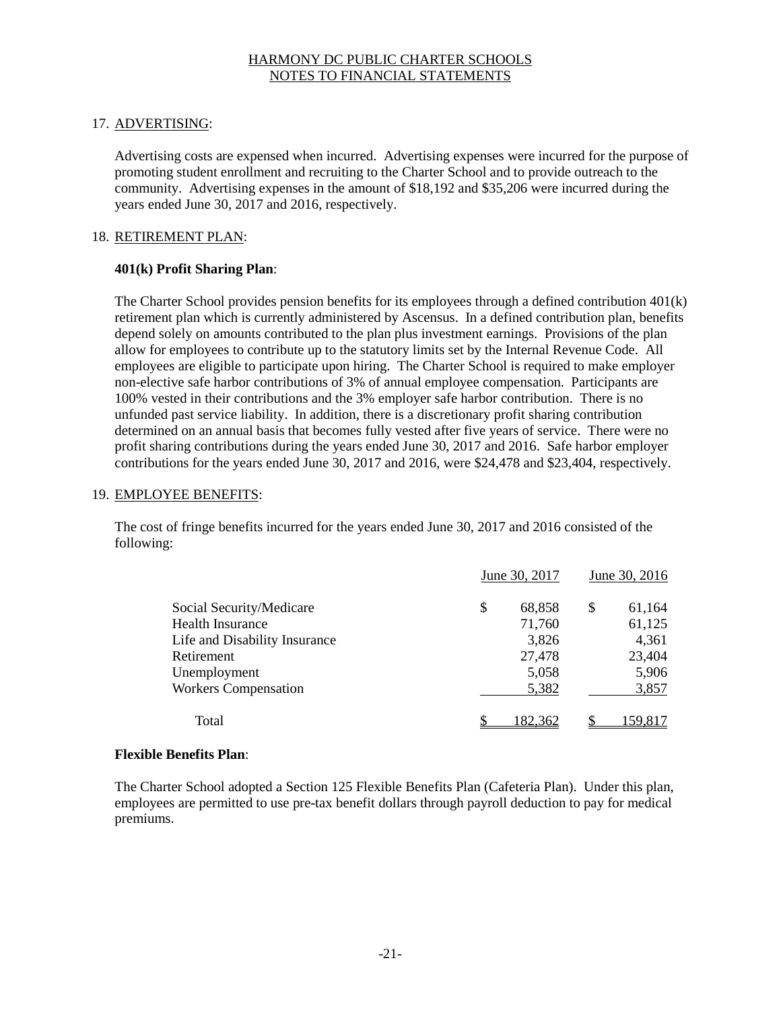#### 17. ADVERTISING:

Advertising costs are expensed when incurred. Advertising expenses were incurred for the purpose of promoting student enrollment and recruiting to the Charter School and to provide outreach to the community. Advertising expenses in the amount of \$18,192 and \$35,206 were incurred during the years ended June 30, 2017 and 2016, respectively.

#### 18. RETIREMENT PLAN:

#### **401(k) Profit Sharing Plan**:

The Charter School provides pension benefits for its employees through a defined contribution 401(k) retirement plan which is currently administered by Ascensus. In a defined contribution plan, benefits depend solely on amounts contributed to the plan plus investment earnings. Provisions of the plan allow for employees to contribute up to the statutory limits set by the Internal Revenue Code. All employees are eligible to participate upon hiring. The Charter School is required to make employer non-elective safe harbor contributions of 3% of annual employee compensation. Participants are 100% vested in their contributions and the 3% employer safe harbor contribution. There is no unfunded past service liability. In addition, there is a discretionary profit sharing contribution determined on an annual basis that becomes fully vested after five years of service. There were no profit sharing contributions during the years ended June 30, 2017 and 2016. Safe harbor employer contributions for the years ended June 30, 2017 and 2016, were \$24,478 and \$23,404, respectively.

#### 19. EMPLOYEE BENEFITS:

The cost of fringe benefits incurred for the years ended June 30, 2017 and 2016 consisted of the following:

|                               | June 30, 2017 | June 30, 2016 |    |         |  |
|-------------------------------|---------------|---------------|----|---------|--|
| Social Security/Medicare      | \$            | 68,858        | \$ | 61,164  |  |
| <b>Health Insurance</b>       |               | 71,760        |    | 61,125  |  |
| Life and Disability Insurance |               | 3,826         |    | 4,361   |  |
| Retirement                    |               | 27,478        |    | 23,404  |  |
| Unemployment                  |               | 5,058         |    | 5,906   |  |
| <b>Workers Compensation</b>   |               | 5,382         |    | 3,857   |  |
| Total                         | \$            | 182.362       |    | 159.817 |  |

#### **Flexible Benefits Plan**:

The Charter School adopted a Section 125 Flexible Benefits Plan (Cafeteria Plan). Under this plan, employees are permitted to use pre-tax benefit dollars through payroll deduction to pay for medical premiums.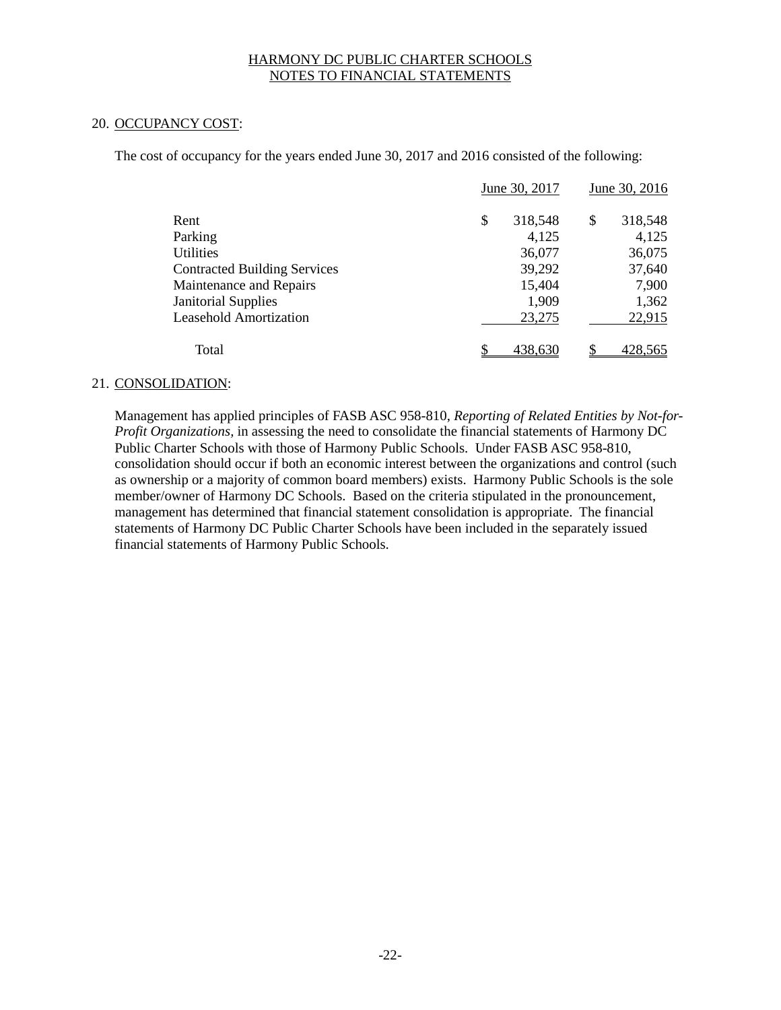#### 20. OCCUPANCY COST:

The cost of occupancy for the years ended June 30, 2017 and 2016 consisted of the following:

|                                     | June 30, 2017 | June 30, 2016 |
|-------------------------------------|---------------|---------------|
| Rent                                | \$<br>318,548 | \$<br>318,548 |
| Parking                             | 4,125         | 4,125         |
| <b>Utilities</b>                    | 36,077        | 36,075        |
| <b>Contracted Building Services</b> | 39,292        | 37,640        |
| Maintenance and Repairs             | 15,404        | 7,900         |
| <b>Janitorial Supplies</b>          | 1,909         | 1,362         |
| <b>Leasehold Amortization</b>       | 23,275        | 22,915        |
| Total                               | \$<br>438,630 | 428,565       |

#### 21. CONSOLIDATION:

Management has applied principles of FASB ASC 958-810, *Reporting of Related Entities by Not-for-Profit Organizations,* in assessing the need to consolidate the financial statements of Harmony DC Public Charter Schools with those of Harmony Public Schools. Under FASB ASC 958-810, consolidation should occur if both an economic interest between the organizations and control (such as ownership or a majority of common board members) exists. Harmony Public Schools is the sole member/owner of Harmony DC Schools. Based on the criteria stipulated in the pronouncement, management has determined that financial statement consolidation is appropriate. The financial statements of Harmony DC Public Charter Schools have been included in the separately issued financial statements of Harmony Public Schools.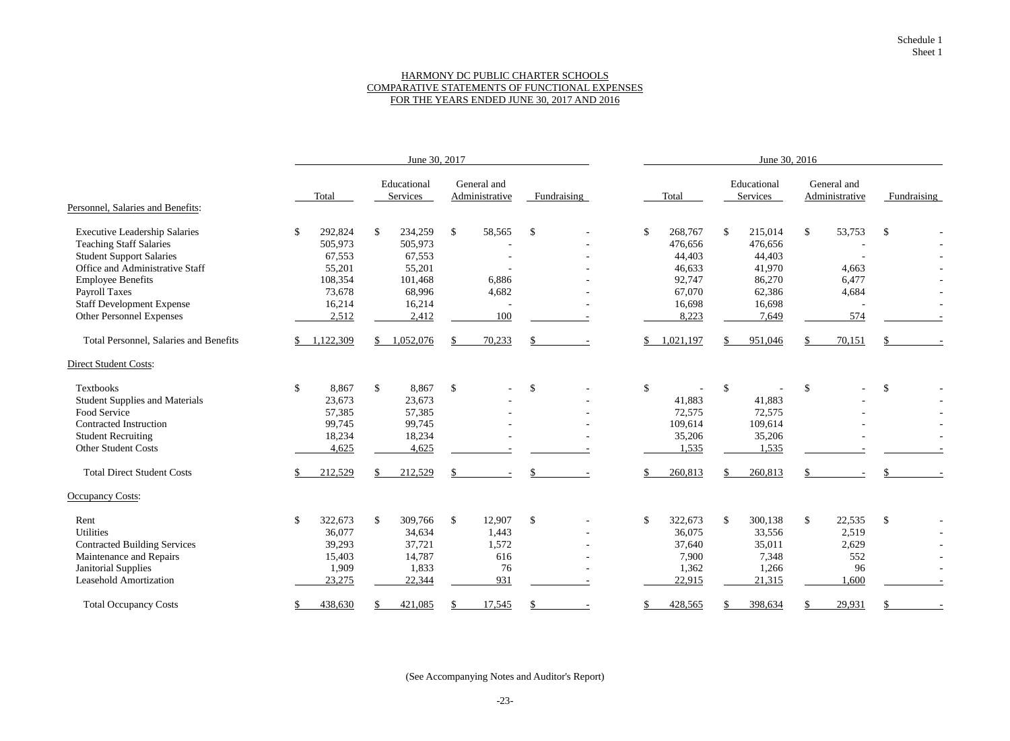## HARMONY DC PUBLIC CHARTER SCHOOLS COMPARATIVE STATEMENTS OF FUNCTIONAL EXPENSES FOR THE YEARS ENDED JUNE 30, 2017 AND 2016

|                                               |                       | June 30, 2017                        |                               |               | June 30, 2016           |                         |                               |                           |  |  |
|-----------------------------------------------|-----------------------|--------------------------------------|-------------------------------|---------------|-------------------------|-------------------------|-------------------------------|---------------------------|--|--|
|                                               | Total                 | Educational<br>Services              | General and<br>Administrative | Fundraising   | Total                   | Educational<br>Services | General and<br>Administrative | Fundraising               |  |  |
| Personnel, Salaries and Benefits:             |                       |                                      |                               |               |                         |                         |                               |                           |  |  |
| <b>Executive Leadership Salaries</b>          | 292,824<br>\$         | $\mathcal{S}$<br>234,259             | $\mathcal{S}$<br>58,565       | $\mathbb{S}$  | $\mathbb{S}$<br>268,767 | 215,014<br>\$           | $\mathcal{S}$<br>53,753       | $\boldsymbol{\mathsf{S}}$ |  |  |
| <b>Teaching Staff Salaries</b>                | 505,973               | 505,973                              |                               |               | 476,656                 | 476,656                 |                               |                           |  |  |
| <b>Student Support Salaries</b>               | 67,553                | 67,553                               |                               |               | 44,403                  | 44,403                  |                               |                           |  |  |
| Office and Administrative Staff               | 55,201                | 55,201                               |                               |               | 46,633                  | 41,970                  | 4,663                         |                           |  |  |
| <b>Employee Benefits</b>                      | 108,354               | 101,468                              | 6,886                         |               | 92,747                  | 86,270                  | 6,477                         |                           |  |  |
| <b>Payroll Taxes</b>                          | 73,678                | 68,996                               | 4,682                         |               | 67,070                  | 62,386                  | 4,684                         |                           |  |  |
| <b>Staff Development Expense</b>              | 16,214                | 16,214                               |                               |               | 16,698                  | 16,698                  | $\overline{\phantom{a}}$      |                           |  |  |
| Other Personnel Expenses                      | 2,512                 | 2,412                                | 100                           |               | 8,223                   | 7,649                   | 574                           |                           |  |  |
| <b>Total Personnel, Salaries and Benefits</b> | 1,122,309<br>S.       | 1,052,076                            | 70,233                        |               | 1,021,197<br>S.         | 951,046                 | 70,151                        |                           |  |  |
| <b>Direct Student Costs:</b>                  |                       |                                      |                               |               |                         |                         |                               |                           |  |  |
| Textbooks                                     | $\mathbb{S}$<br>8,867 | $\mathcal{S}$<br>8,867               | $\mathcal{S}$                 | $\mathcal{S}$ | $\mathcal{S}$           | $\mathcal{S}$           | $\sqrt$                       | $\mathcal{S}$             |  |  |
| <b>Student Supplies and Materials</b>         | 23,673                | 23,673                               |                               |               | 41,883                  | 41,883                  |                               |                           |  |  |
| Food Service                                  | 57,385                | 57,385                               |                               |               | 72,575                  | 72,575                  |                               |                           |  |  |
| <b>Contracted Instruction</b>                 | 99,745                | 99,745                               |                               |               | 109,614                 | 109,614                 |                               |                           |  |  |
| <b>Student Recruiting</b>                     | 18,234                | 18,234                               |                               |               | 35,206                  | 35,206                  |                               |                           |  |  |
| <b>Other Student Costs</b>                    | 4,625                 | 4,625                                |                               |               | 1,535                   | 1,535                   |                               |                           |  |  |
| <b>Total Direct Student Costs</b>             | 212,529               | 212,529                              |                               |               | 260,813                 | 260,813                 |                               |                           |  |  |
| <b>Occupancy Costs:</b>                       |                       |                                      |                               |               |                         |                         |                               |                           |  |  |
| Rent                                          | \$<br>322,673         | 309,766<br>$\boldsymbol{\mathsf{S}}$ | $\mathcal{S}$<br>12,907       | $\mathcal{S}$ | \$<br>322,673           | 300,138<br>\$           | $\mathcal{S}$<br>22,535       | \$                        |  |  |
| Utilities                                     | 36,077                | 34,634                               | 1,443                         |               | 36,075                  | 33,556                  | 2,519                         |                           |  |  |
| <b>Contracted Building Services</b>           | 39,293                | 37,721                               | 1,572                         |               | 37,640                  | 35,011                  | 2,629                         |                           |  |  |
| Maintenance and Repairs                       | 15,403                | 14,787                               | 616                           |               | 7,900                   | 7,348                   | 552                           |                           |  |  |
| <b>Janitorial Supplies</b>                    | 1,909                 | 1,833                                | 76                            |               | 1,362                   | 1,266                   | 96                            |                           |  |  |
| <b>Leasehold Amortization</b>                 | 23,275                | 22,344                               | 931                           |               | 22,915                  | 21,315                  | 1,600                         |                           |  |  |
| <b>Total Occupancy Costs</b>                  | 438,630<br>\$         | 421,085                              | 17,545                        |               | 428,565                 | 398,634                 | 29,931                        | \$.                       |  |  |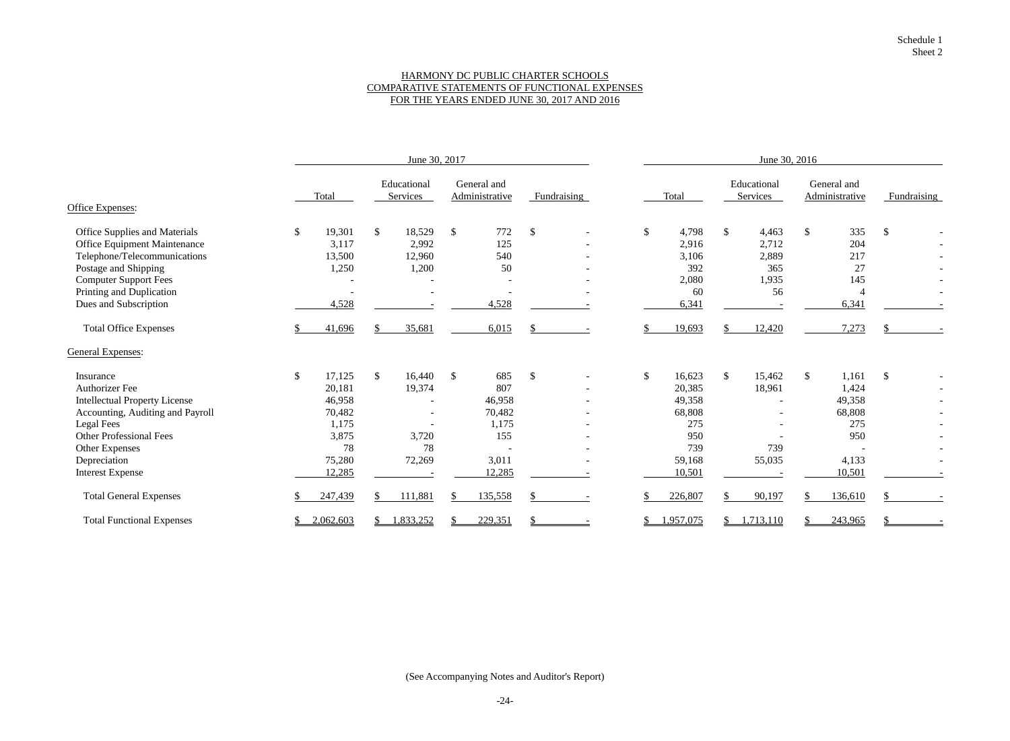#### HARMONY DC PUBLIC CHARTER SCHOOLS COMPARATIVE STATEMENTS OF FUNCTIONAL EXPENSES FOR THE YEARS ENDED JUNE 30, 2017 AND 2016

|                                      |                           | June 30, 2017 |               |                                |                           |                               |               |                          | June 30, 2016             |           |                         |                         |              |                               |             |  |
|--------------------------------------|---------------------------|---------------|---------------|--------------------------------|---------------------------|-------------------------------|---------------|--------------------------|---------------------------|-----------|-------------------------|-------------------------|--------------|-------------------------------|-------------|--|
|                                      |                           | Total         |               | Educational<br><b>Services</b> |                           | General and<br>Administrative |               | Fundraising              |                           | Total     |                         | Educational<br>Services |              | General and<br>Administrative | Fundraising |  |
| Office Expenses:                     |                           |               |               |                                |                           |                               |               |                          |                           |           |                         |                         |              |                               |             |  |
| Office Supplies and Materials        | $\mathcal{S}$             | 19,301        | \$            | 18,529                         | $\boldsymbol{\mathsf{S}}$ | 772                           | $\mathcal{S}$ | $\overline{\phantom{a}}$ | \$                        | 4,798     | $\sqrt[6]{\frac{1}{2}}$ | 4,463                   | \$           | 335                           | \$          |  |
| Office Equipment Maintenance         |                           | 3,117         |               | 2,992                          |                           | 125                           |               |                          |                           | 2,916     |                         | 2,712                   |              | 204                           |             |  |
| Telephone/Telecommunications         |                           | 13,500        |               | 12,960                         |                           | 540                           |               |                          |                           | 3,106     |                         | 2,889                   |              | 217                           |             |  |
| Postage and Shipping                 |                           | 1,250         |               | 1,200                          |                           | 50                            |               |                          |                           | 392       |                         | 365                     |              | 27                            |             |  |
| <b>Computer Support Fees</b>         |                           |               |               |                                |                           |                               |               |                          |                           | 2,080     |                         | 1,935                   |              | 145                           |             |  |
| Printing and Duplication             |                           |               |               |                                |                           |                               |               |                          |                           | 60        |                         | 56                      |              | $\Delta$                      |             |  |
| Dues and Subscription                |                           | 4,528         |               |                                |                           | 4,528                         |               |                          |                           | 6,341     |                         |                         |              | 6,341                         |             |  |
| <b>Total Office Expenses</b>         |                           | 41,696        |               | 35,681                         |                           | 6,015                         |               |                          |                           | 19,693    |                         | 12,420                  |              | 7,273                         |             |  |
| <b>General Expenses:</b>             |                           |               |               |                                |                           |                               |               |                          |                           |           |                         |                         |              |                               |             |  |
| Insurance                            | $\boldsymbol{\mathsf{S}}$ | 17,125        | $\mathcal{S}$ | 16,440                         | $\mathcal{S}$             | 685                           | $\mathcal{S}$ | $\blacksquare$           | $\boldsymbol{\mathsf{S}}$ | 16,623    | $\mathbb{S}$            | 15,462                  | $\mathbb{S}$ | 1,161                         | \$          |  |
| <b>Authorizer Fee</b>                |                           | 20,181        |               | 19,374                         |                           | 807                           |               |                          |                           | 20,385    |                         | 18,961                  |              | 1,424                         |             |  |
| <b>Intellectual Property License</b> |                           | 46,958        |               |                                |                           | 46,958                        |               |                          |                           | 49,358    |                         |                         |              | 49,358                        |             |  |
| Accounting, Auditing and Payroll     |                           | 70,482        |               | $\overline{\phantom{a}}$       |                           | 70,482                        |               |                          |                           | 68,808    |                         |                         |              | 68,808                        |             |  |
| Legal Fees                           |                           | 1,175         |               |                                |                           | 1,175                         |               |                          |                           | 275       |                         |                         |              | 275                           |             |  |
| <b>Other Professional Fees</b>       |                           | 3,875         |               | 3,720                          |                           | 155                           |               |                          |                           | 950       |                         |                         |              | 950                           |             |  |
| Other Expenses                       |                           | 78            |               | 78                             |                           | $\overline{\phantom{a}}$      |               |                          |                           | 739       |                         | 739                     |              |                               |             |  |
| Depreciation                         |                           | 75,280        |               | 72,269                         |                           | 3,011                         |               |                          |                           | 59,168    |                         | 55,035                  |              | 4,133                         |             |  |
| <b>Interest Expense</b>              |                           | 12,285        |               |                                |                           | 12,285                        |               |                          |                           | 10,501    |                         |                         |              | 10,501                        |             |  |
| <b>Total General Expenses</b>        |                           | 247,439       |               | 111,881                        |                           | 135,558                       |               |                          |                           | 226,807   |                         | 90,197                  |              | 136,610                       |             |  |
| <b>Total Functional Expenses</b>     |                           | 2,062,603     |               | 833,252                        |                           | 229,351                       |               |                          |                           | 1,957,075 |                         | 1,713,110               |              | 243,965                       |             |  |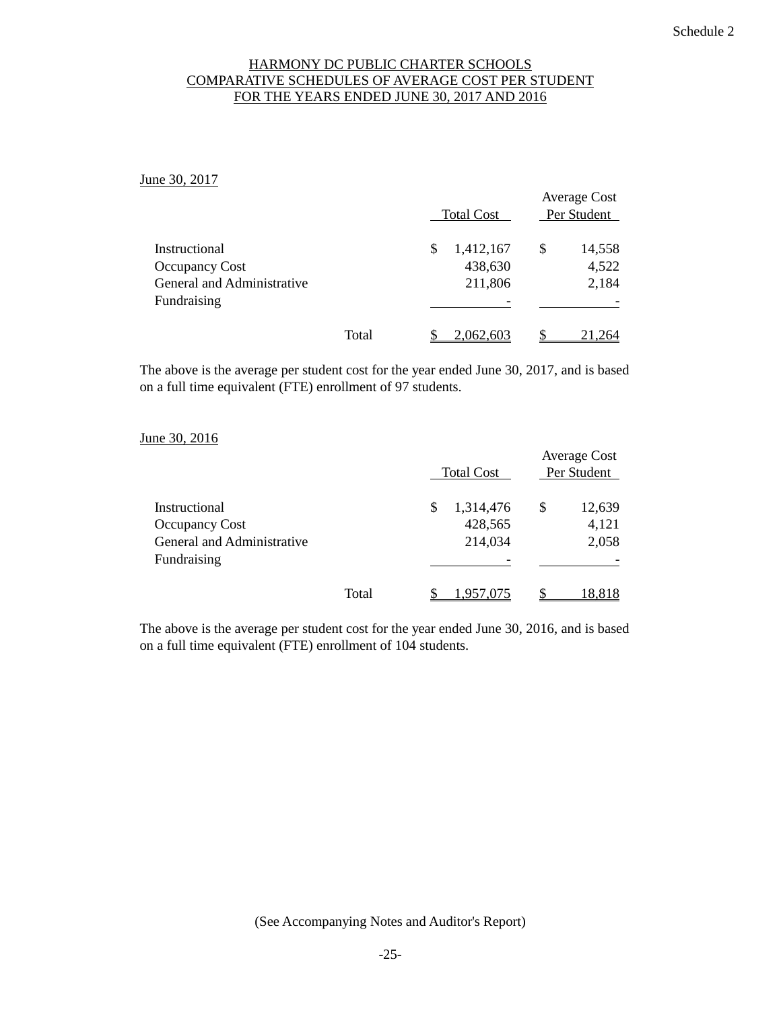## HARMONY DC PUBLIC CHARTER SCHOOLS COMPARATIVE SCHEDULES OF AVERAGE COST PER STUDENT FOR THE YEARS ENDED JUNE 30, 2017 AND 2016

June 30, 2017

|                            |       | <b>Total Cost</b> | <b>Average Cost</b><br>Per Student |
|----------------------------|-------|-------------------|------------------------------------|
| Instructional              |       | \$<br>1,412,167   | \$<br>14,558                       |
| <b>Occupancy Cost</b>      |       | 438,630           | 4,522                              |
| General and Administrative |       | 211,806           | 2,184                              |
| Fundraising                |       |                   |                                    |
|                            | Total | 2.062.603         |                                    |

The above is the average per student cost for the year ended June 30, 2017, and is based on a full time equivalent (FTE) enrollment of 97 students.

#### June 30, 2016

|                            |       | <b>Total Cost</b> |   | <b>Average Cost</b><br>Per Student |
|----------------------------|-------|-------------------|---|------------------------------------|
| Instructional              |       | \$<br>1,314,476   | S | 12,639                             |
| <b>Occupancy Cost</b>      |       | 428,565           |   | 4,121                              |
| General and Administrative |       | 214,034           |   | 2,058                              |
| Fundraising                |       |                   |   |                                    |
|                            | Total | 1,957,075         |   | 18,818                             |

The above is the average per student cost for the year ended June 30, 2016, and is based on a full time equivalent (FTE) enrollment of 104 students.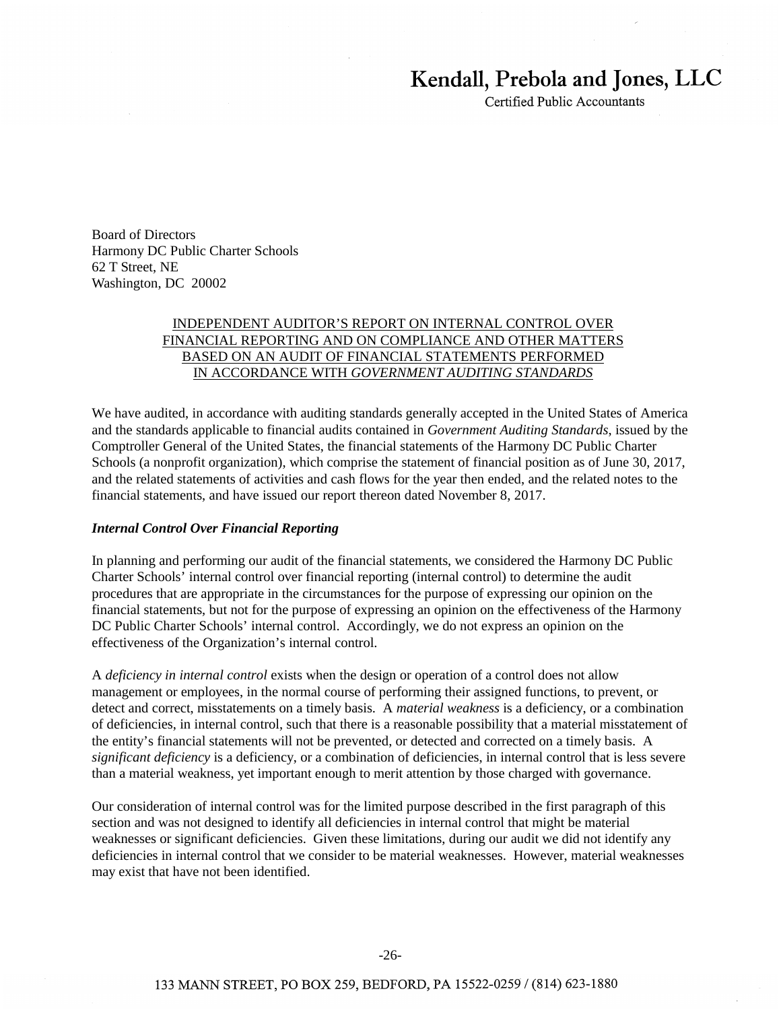# Kendall, Prebola and Jones, LLC

Certified Public Accountants

Board of Directors Harmony DC Public Charter Schools 62 T Street, NE Washington, DC 20002

## INDEPENDENT AUDITOR'S REPORT ON INTERNAL CONTROL OVER FINANCIAL REPORTING AND ON COMPLIANCE AND OTHER MATTERS BASED ON AN AUDIT OF FINANCIAL STATEMENTS PERFORMED IN ACCORDANCE WITH *GOVERNMENT AUDITING STANDARDS*

We have audited, in accordance with auditing standards generally accepted in the United States of America and the standards applicable to financial audits contained in *Government Auditing Standards*, issued by the Comptroller General of the United States, the financial statements of the Harmony DC Public Charter Schools (a nonprofit organization), which comprise the statement of financial position as of June 30, 2017, and the related statements of activities and cash flows for the year then ended, and the related notes to the financial statements, and have issued our report thereon dated November 8, 2017.

#### *Internal Control Over Financial Reporting*

In planning and performing our audit of the financial statements, we considered the Harmony DC Public Charter Schools' internal control over financial reporting (internal control) to determine the audit procedures that are appropriate in the circumstances for the purpose of expressing our opinion on the financial statements, but not for the purpose of expressing an opinion on the effectiveness of the Harmony DC Public Charter Schools' internal control. Accordingly, we do not express an opinion on the effectiveness of the Organization's internal control.

A *deficiency in internal control* exists when the design or operation of a control does not allow management or employees, in the normal course of performing their assigned functions, to prevent, or detect and correct, misstatements on a timely basis. A *material weakness* is a deficiency, or a combination of deficiencies, in internal control, such that there is a reasonable possibility that a material misstatement of the entity's financial statements will not be prevented, or detected and corrected on a timely basis. A *significant deficiency* is a deficiency, or a combination of deficiencies, in internal control that is less severe than a material weakness, yet important enough to merit attention by those charged with governance.

Our consideration of internal control was for the limited purpose described in the first paragraph of this section and was not designed to identify all deficiencies in internal control that might be material weaknesses or significant deficiencies. Given these limitations, during our audit we did not identify any deficiencies in internal control that we consider to be material weaknesses. However, material weaknesses may exist that have not been identified.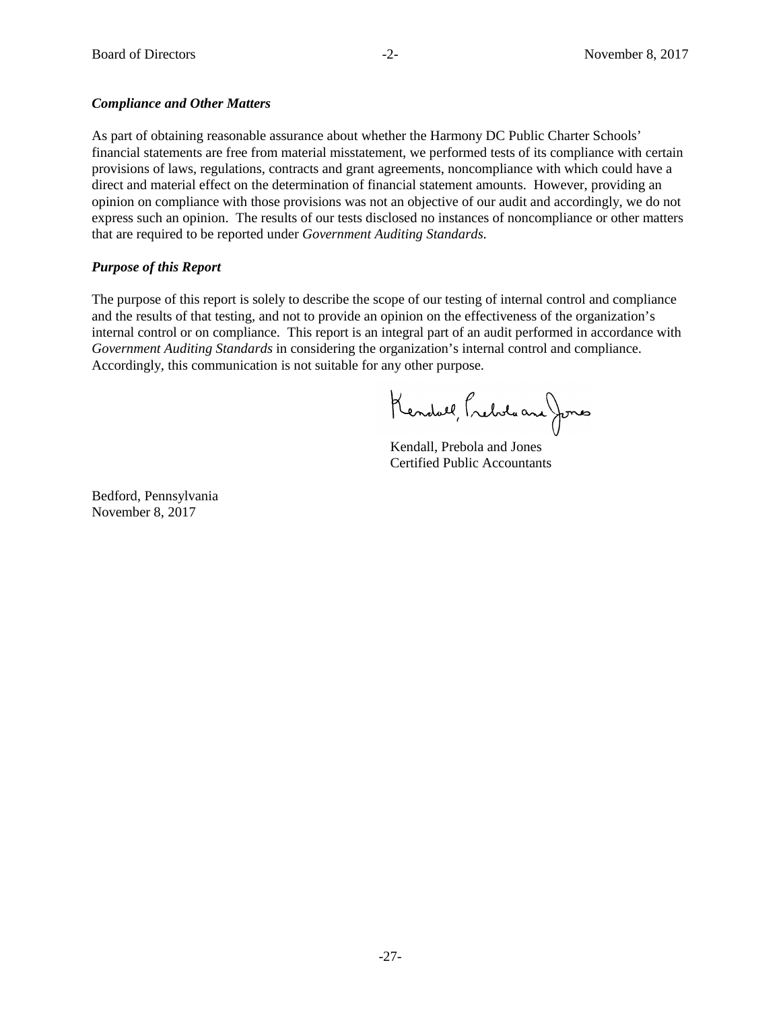#### *Compliance and Other Matters*

As part of obtaining reasonable assurance about whether the Harmony DC Public Charter Schools' financial statements are free from material misstatement, we performed tests of its compliance with certain provisions of laws, regulations, contracts and grant agreements, noncompliance with which could have a direct and material effect on the determination of financial statement amounts. However, providing an opinion on compliance with those provisions was not an objective of our audit and accordingly, we do not express such an opinion. The results of our tests disclosed no instances of noncompliance or other matters that are required to be reported under *Government Auditing Standards*.

#### *Purpose of this Report*

The purpose of this report is solely to describe the scope of our testing of internal control and compliance and the results of that testing, and not to provide an opinion on the effectiveness of the organization's internal control or on compliance. This report is an integral part of an audit performed in accordance with *Government Auditing Standards* in considering the organization's internal control and compliance. Accordingly, this communication is not suitable for any other purpose.

Kendal, Prebleau (Jones

Kendall, Prebola and Jones Certified Public Accountants

Bedford, Pennsylvania November 8, 2017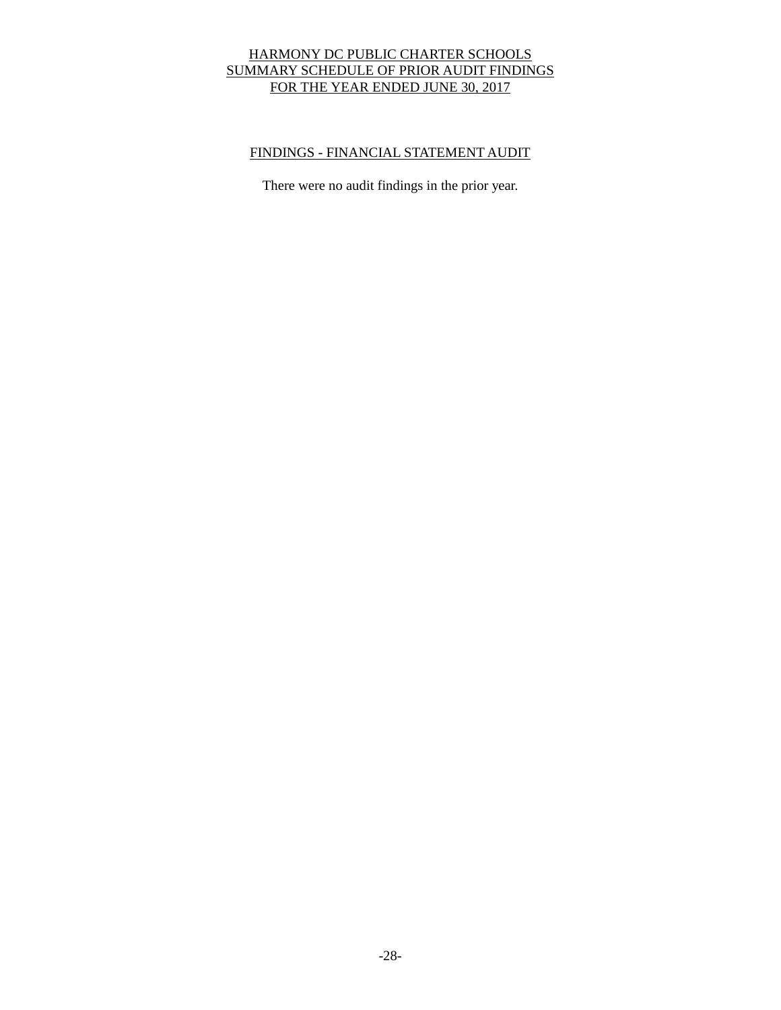# HARMONY DC PUBLIC CHARTER SCHOOLS SUMMARY SCHEDULE OF PRIOR AUDIT FINDINGS FOR THE YEAR ENDED JUNE 30, 2017

# FINDINGS - FINANCIAL STATEMENT AUDIT

There were no audit findings in the prior year.